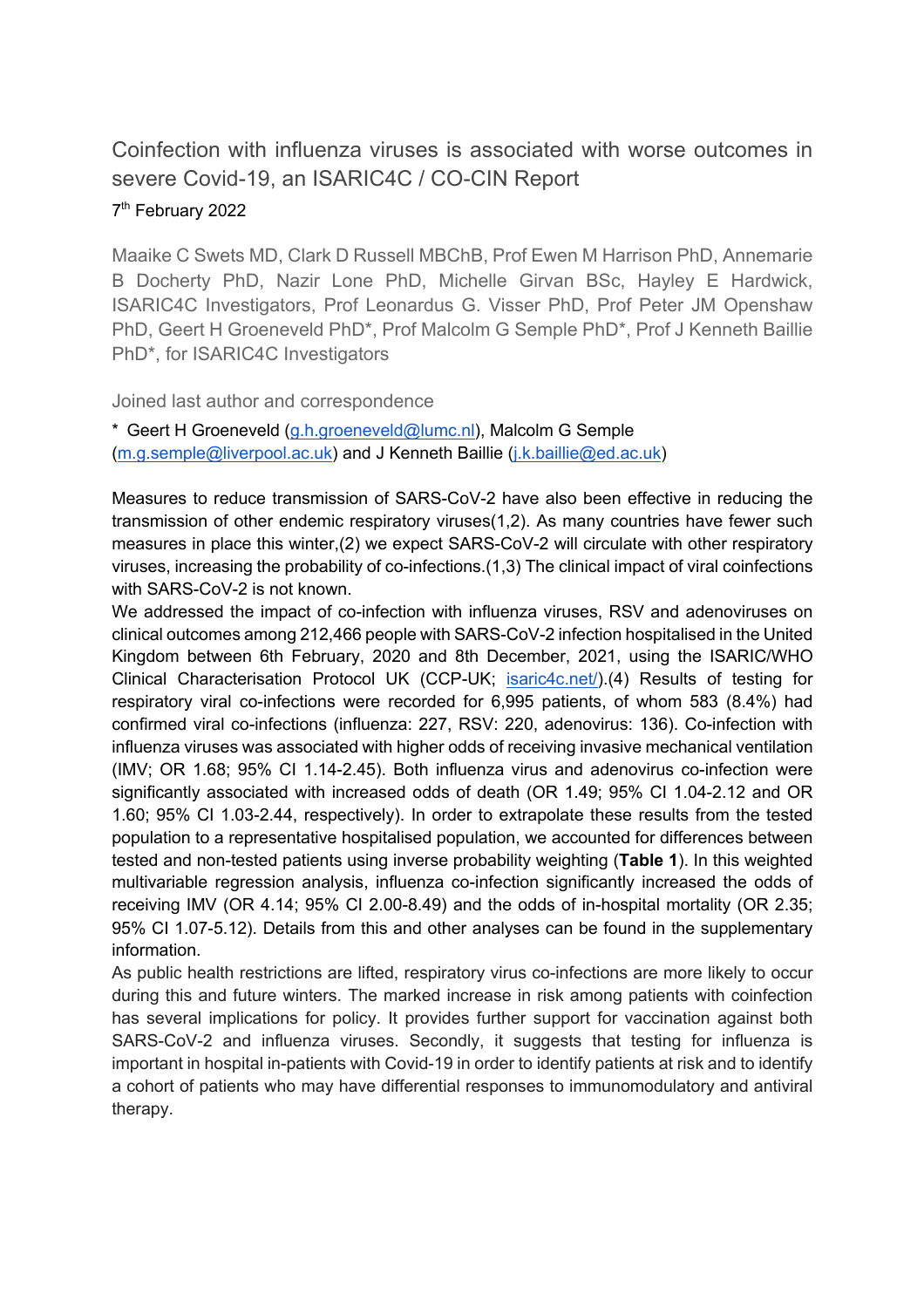# Coinfection with influenza viruses is associated with worse outcomes in severe Covid-19, an ISARIC4C / CO-CIN Report

# 7<sup>th</sup> February 2022

Maaike C Swets MD, Clark D Russell MBChB, Prof Ewen M Harrison PhD, Annemarie B Docherty PhD, Nazir Lone PhD, Michelle Girvan BSc, Hayley E Hardwick, ISARIC4C Investigators, Prof Leonardus G. Visser PhD, Prof Peter JM Openshaw PhD, Geert H Groeneveld PhD\*, Prof Malcolm G Semple PhD\*, Prof J Kenneth Baillie PhD\*, for ISARIC4C Investigators

Joined last author and correspondence

\* Geert H Groeneveld (g.h.groeneveld@lumc.nl), Malcolm G Semple (m.g.semple@liverpool.ac.uk) and J Kenneth Baillie (j.k.baillie@ed.ac.uk)

Measures to reduce transmission of SARS-CoV-2 have also been effective in reducing the transmission of other endemic respiratory viruses(1,2). As many countries have fewer such measures in place this winter,(2) we expect SARS-CoV-2 will circulate with other respiratory viruses, increasing the probability of co-infections.(1,3) The clinical impact of viral coinfections with SARS-CoV-2 is not known.

We addressed the impact of co-infection with influenza viruses, RSV and adenoviruses on clinical outcomes among 212,466 people with SARS-CoV-2 infection hospitalised in the United Kingdom between 6th February, 2020 and 8th December, 2021, using the ISARIC/WHO Clinical Characterisation Protocol UK (CCP-UK; isaric4c.net/).(4) Results of testing for respiratory viral co-infections were recorded for 6,995 patients, of whom 583 (8.4%) had confirmed viral co-infections (influenza: 227, RSV: 220, adenovirus: 136). Co-infection with influenza viruses was associated with higher odds of receiving invasive mechanical ventilation (IMV; OR 1.68; 95% CI 1.14-2.45). Both influenza virus and adenovirus co-infection were significantly associated with increased odds of death (OR 1.49; 95% CI 1.04-2.12 and OR 1.60; 95% CI 1.03-2.44, respectively). In order to extrapolate these results from the tested population to a representative hospitalised population, we accounted for differences between tested and non-tested patients using inverse probability weighting (**Table 1**). In this weighted multivariable regression analysis, influenza co-infection significantly increased the odds of receiving IMV (OR 4.14; 95% CI 2.00-8.49) and the odds of in-hospital mortality (OR 2.35; 95% CI 1.07-5.12). Details from this and other analyses can be found in the supplementary information.

As public health restrictions are lifted, respiratory virus co-infections are more likely to occur during this and future winters. The marked increase in risk among patients with coinfection has several implications for policy. It provides further support for vaccination against both SARS-CoV-2 and influenza viruses. Secondly, it suggests that testing for influenza is important in hospital in-patients with Covid-19 in order to identify patients at risk and to identify a cohort of patients who may have differential responses to immunomodulatory and antiviral therapy.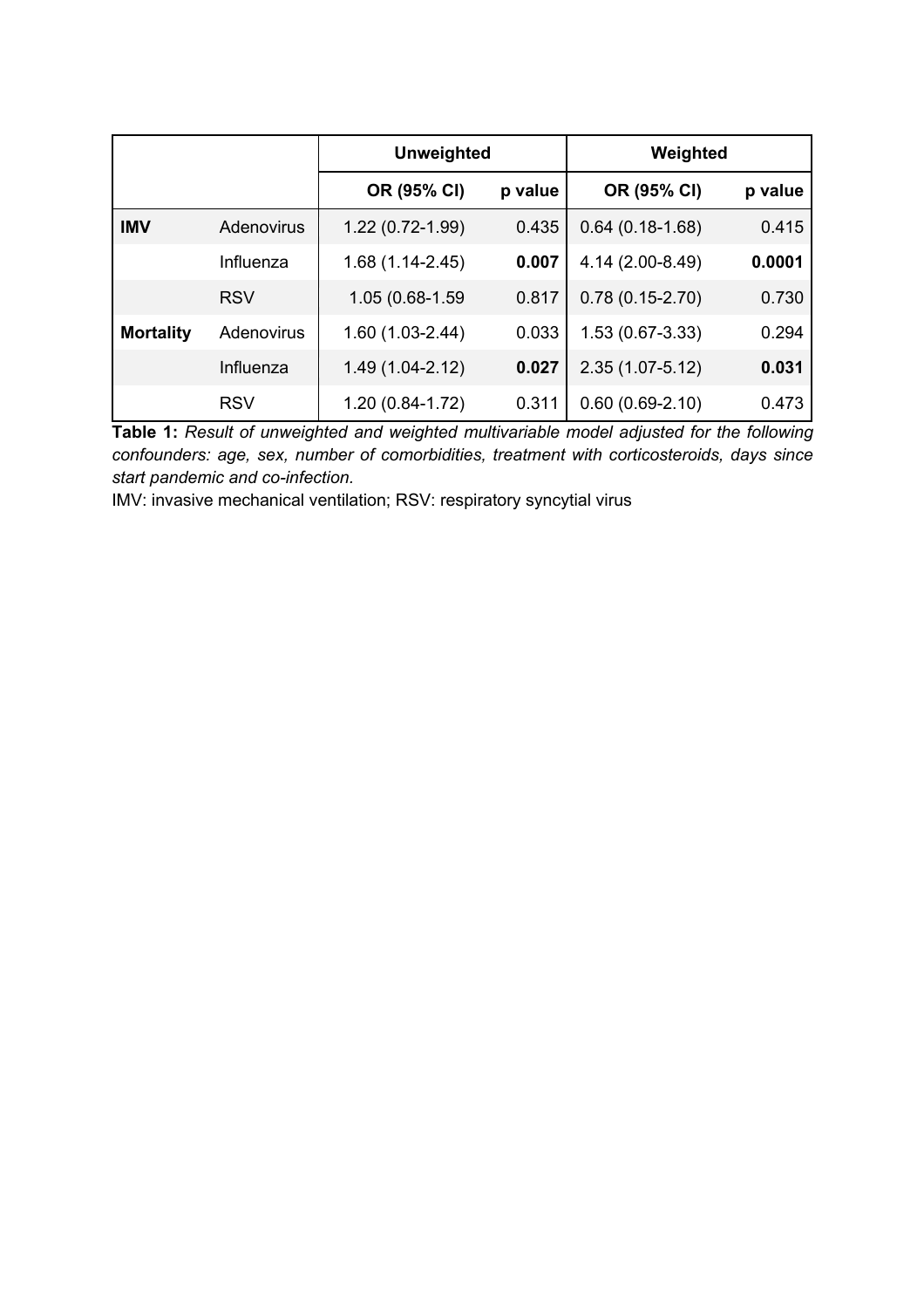|                  |            | <b>Unweighted</b> |         | Weighted            |         |
|------------------|------------|-------------------|---------|---------------------|---------|
|                  |            | OR (95% CI)       | p value | OR (95% CI)         | p value |
| <b>IMV</b>       | Adenovirus | 1.22 (0.72-1.99)  | 0.435   | $0.64(0.18-1.68)$   | 0.415   |
|                  | Influenza  | 1.68 (1.14-2.45)  | 0.007   | 4.14 (2.00-8.49)    | 0.0001  |
|                  | <b>RSV</b> | 1.05 (0.68-1.59   | 0.817   | $0.78(0.15-2.70)$   | 0.730   |
| <b>Mortality</b> | Adenovirus | 1.60 (1.03-2.44)  | 0.033   | 1.53 (0.67-3.33)    | 0.294   |
|                  | Influenza  | 1.49 (1.04-2.12)  | 0.027   | $2.35(1.07 - 5.12)$ | 0.031   |
|                  | <b>RSV</b> | 1.20 (0.84-1.72)  | 0.311   | $0.60(0.69-2.10)$   | 0.473   |

**Table 1:** *Result of unweighted and weighted multivariable model adjusted for the following confounders: age, sex, number of comorbidities, treatment with corticosteroids, days since start pandemic and co-infection.* 

IMV: invasive mechanical ventilation; RSV: respiratory syncytial virus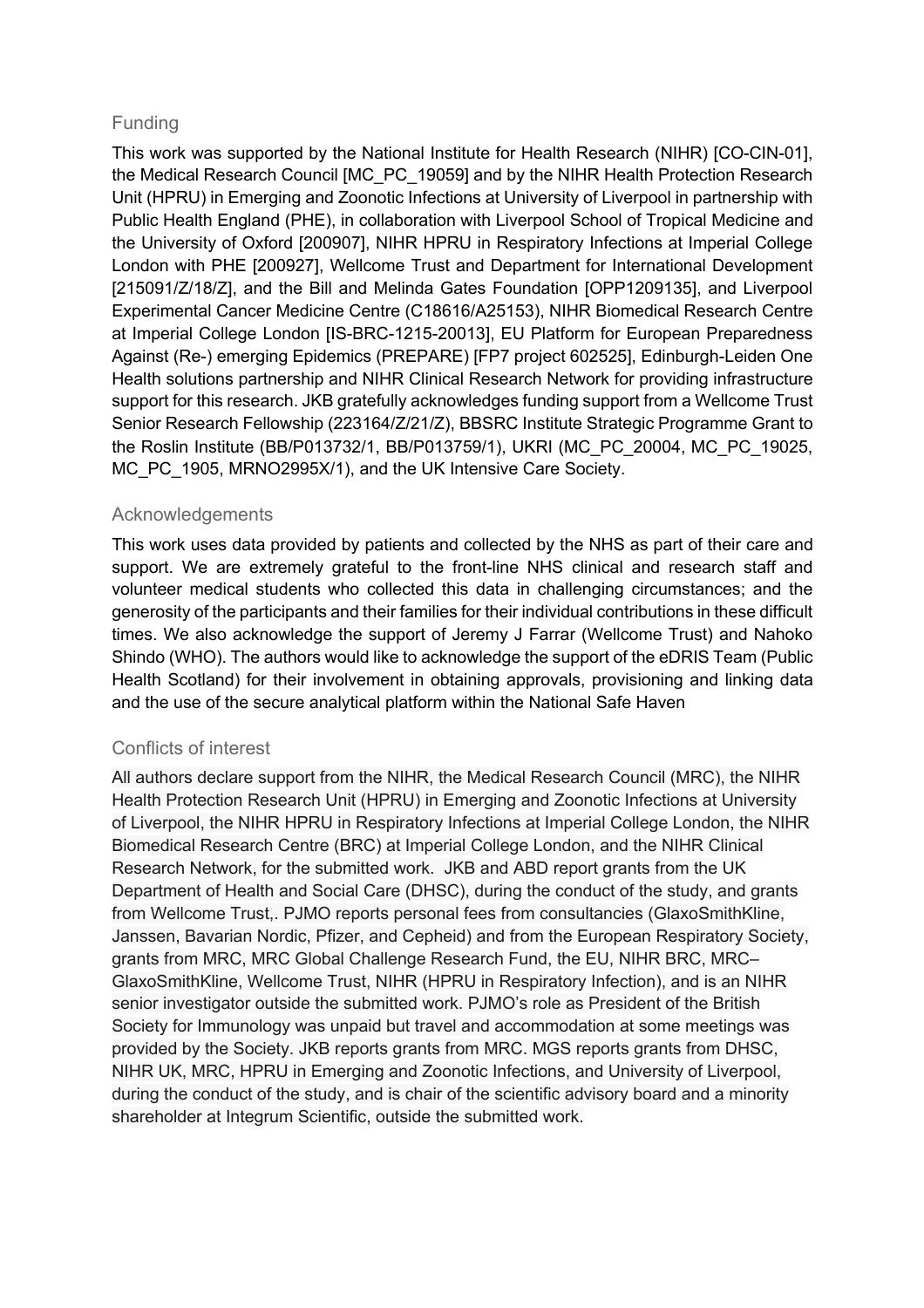# Funding

This work was supported by the National Institute for Health Research (NIHR) [CO-CIN-01], the Medical Research Council [MC\_PC\_19059] and by the NIHR Health Protection Research Unit (HPRU) in Emerging and Zoonotic Infections at University of Liverpool in partnership with Public Health England (PHE), in collaboration with Liverpool School of Tropical Medicine and the University of Oxford [200907], NIHR HPRU in Respiratory Infections at Imperial College London with PHE [200927], Wellcome Trust and Department for International Development [215091/Z/18/Z], and the Bill and Melinda Gates Foundation [OPP1209135], and Liverpool Experimental Cancer Medicine Centre (C18616/A25153), NIHR Biomedical Research Centre at Imperial College London [IS-BRC-1215-20013], EU Platform for European Preparedness Against (Re-) emerging Epidemics (PREPARE) [FP7 project 602525], Edinburgh-Leiden One Health solutions partnership and NIHR Clinical Research Network for providing infrastructure support for this research. JKB gratefully acknowledges funding support from a Wellcome Trust Senior Research Fellowship (223164/Z/21/Z), BBSRC Institute Strategic Programme Grant to the Roslin Institute (BB/P013732/1, BB/P013759/1), UKRI (MC\_PC\_20004, MC\_PC\_19025, MC\_PC\_1905, MRNO2995X/1), and the UK Intensive Care Society.

# Acknowledgements

This work uses data provided by patients and collected by the NHS as part of their care and support. We are extremely grateful to the front-line NHS clinical and research staff and volunteer medical students who collected this data in challenging circumstances; and the generosity of the participants and their families for their individual contributions in these difficult times. We also acknowledge the support of Jeremy J Farrar (Wellcome Trust) and Nahoko Shindo (WHO). The authors would like to acknowledge the support of the eDRIS Team (Public Health Scotland) for their involvement in obtaining approvals, provisioning and linking data and the use of the secure analytical platform within the National Safe Haven

# Conflicts of interest

All authors declare support from the NIHR, the Medical Research Council (MRC), the NIHR Health Protection Research Unit (HPRU) in Emerging and Zoonotic Infections at University of Liverpool, the NIHR HPRU in Respiratory Infections at Imperial College London, the NIHR Biomedical Research Centre (BRC) at Imperial College London, and the NIHR Clinical Research Network, for the submitted work. JKB and ABD report grants from the UK Department of Health and Social Care (DHSC), during the conduct of the study, and grants from Wellcome Trust,. PJMO reports personal fees from consultancies (GlaxoSmithKline, Janssen, Bavarian Nordic, Pfizer, and Cepheid) and from the European Respiratory Society, grants from MRC, MRC Global Challenge Research Fund, the EU, NIHR BRC, MRC– GlaxoSmithKline, Wellcome Trust, NIHR (HPRU in Respiratory Infection), and is an NIHR senior investigator outside the submitted work. PJMO's role as President of the British Society for Immunology was unpaid but travel and accommodation at some meetings was provided by the Society. JKB reports grants from MRC. MGS reports grants from DHSC, NIHR UK, MRC, HPRU in Emerging and Zoonotic Infections, and University of Liverpool, during the conduct of the study, and is chair of the scientific advisory board and a minority shareholder at Integrum Scientific, outside the submitted work.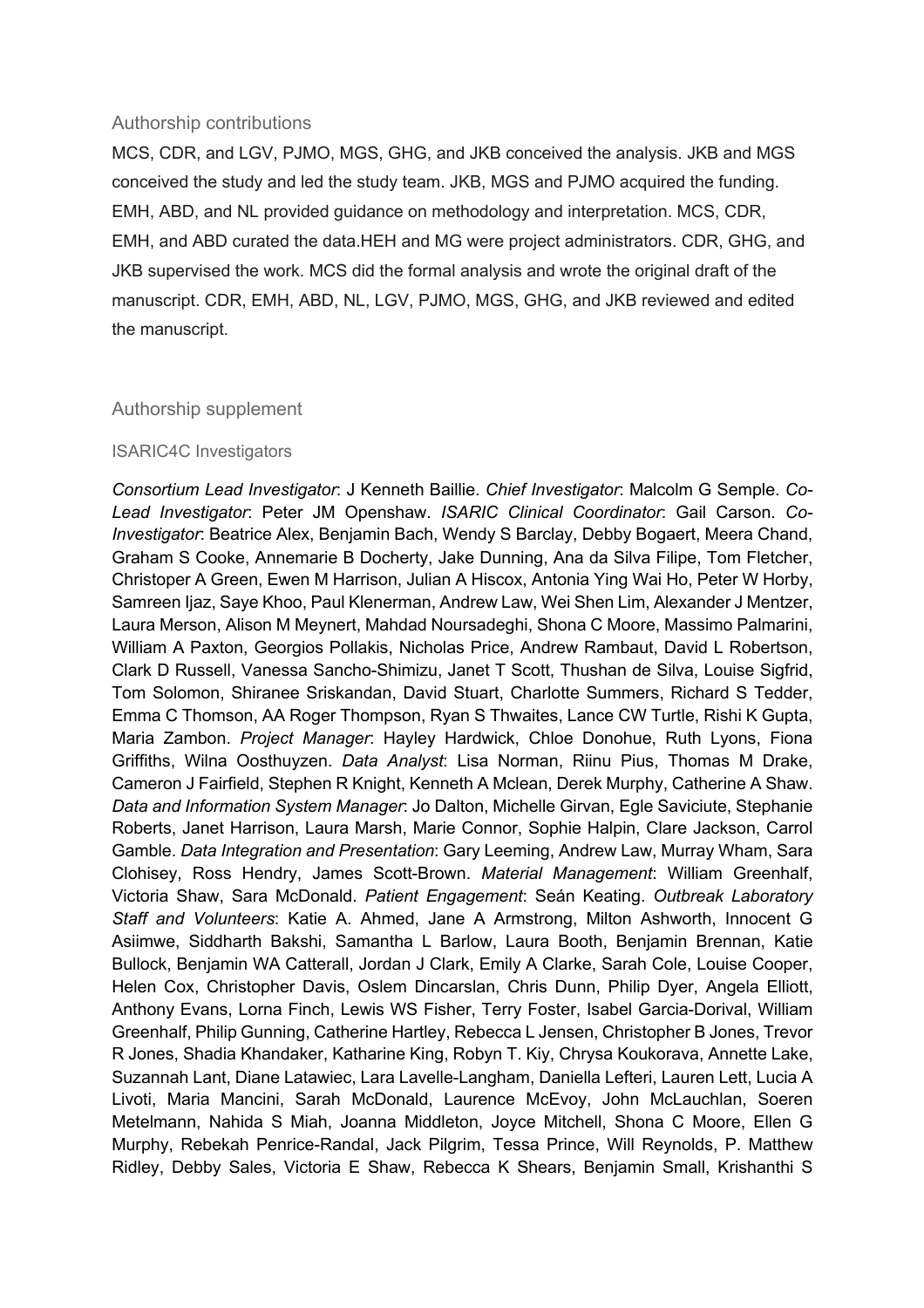#### Authorship contributions

MCS, CDR, and LGV, PJMO, MGS, GHG, and JKB conceived the analysis. JKB and MGS conceived the study and led the study team. JKB, MGS and PJMO acquired the funding. EMH, ABD, and NL provided guidance on methodology and interpretation. MCS, CDR, EMH, and ABD curated the data.HEH and MG were project administrators. CDR, GHG, and JKB supervised the work. MCS did the formal analysis and wrote the original draft of the manuscript. CDR, EMH, ABD, NL, LGV, PJMO, MGS, GHG, and JKB reviewed and edited the manuscript.

#### Authorship supplement

#### ISARIC4C Investigators

*Consortium Lead Investigator*: J Kenneth Baillie. *Chief Investigator*: Malcolm G Semple. *Co-Lead Investigator*: Peter JM Openshaw. *ISARIC Clinical Coordinator*: Gail Carson. *Co-Investigator*: Beatrice Alex, Benjamin Bach, Wendy S Barclay, Debby Bogaert, Meera Chand, Graham S Cooke, Annemarie B Docherty, Jake Dunning, Ana da Silva Filipe, Tom Fletcher, Christoper A Green, Ewen M Harrison, Julian A Hiscox, Antonia Ying Wai Ho, Peter W Horby, Samreen Ijaz, Saye Khoo, Paul Klenerman, Andrew Law, Wei Shen Lim, Alexander J Mentzer, Laura Merson, Alison M Meynert, Mahdad Noursadeghi, Shona C Moore, Massimo Palmarini, William A Paxton, Georgios Pollakis, Nicholas Price, Andrew Rambaut, David L Robertson, Clark D Russell, Vanessa Sancho-Shimizu, Janet T Scott, Thushan de Silva, Louise Sigfrid, Tom Solomon, Shiranee Sriskandan, David Stuart, Charlotte Summers, Richard S Tedder, Emma C Thomson, AA Roger Thompson, Ryan S Thwaites, Lance CW Turtle, Rishi K Gupta, Maria Zambon. *Project Manager*: Hayley Hardwick, Chloe Donohue, Ruth Lyons, Fiona Griffiths, Wilna Oosthuyzen. *Data Analyst*: Lisa Norman, Riinu Pius, Thomas M Drake, Cameron J Fairfield, Stephen R Knight, Kenneth A Mclean, Derek Murphy, Catherine A Shaw. *Data and Information System Manager*: Jo Dalton, Michelle Girvan, Egle Saviciute, Stephanie Roberts, Janet Harrison, Laura Marsh, Marie Connor, Sophie Halpin, Clare Jackson, Carrol Gamble. *Data Integration and Presentation*: Gary Leeming, Andrew Law, Murray Wham, Sara Clohisey, Ross Hendry, James Scott-Brown. *Material Management*: William Greenhalf, Victoria Shaw, Sara McDonald. *Patient Engagement*: Seán Keating. *Outbreak Laboratory Staff and Volunteers*: Katie A. Ahmed, Jane A Armstrong, Milton Ashworth, Innocent G Asiimwe, Siddharth Bakshi, Samantha L Barlow, Laura Booth, Benjamin Brennan, Katie Bullock, Benjamin WA Catterall, Jordan J Clark, Emily A Clarke, Sarah Cole, Louise Cooper, Helen Cox, Christopher Davis, Oslem Dincarslan, Chris Dunn, Philip Dyer, Angela Elliott, Anthony Evans, Lorna Finch, Lewis WS Fisher, Terry Foster, Isabel Garcia-Dorival, William Greenhalf, Philip Gunning, Catherine Hartley, Rebecca L Jensen, Christopher B Jones, Trevor R Jones, Shadia Khandaker, Katharine King, Robyn T. Kiy, Chrysa Koukorava, Annette Lake, Suzannah Lant, Diane Latawiec, Lara Lavelle-Langham, Daniella Lefteri, Lauren Lett, Lucia A Livoti, Maria Mancini, Sarah McDonald, Laurence McEvoy, John McLauchlan, Soeren Metelmann, Nahida S Miah, Joanna Middleton, Joyce Mitchell, Shona C Moore, Ellen G Murphy, Rebekah Penrice-Randal, Jack Pilgrim, Tessa Prince, Will Reynolds, P. Matthew Ridley, Debby Sales, Victoria E Shaw, Rebecca K Shears, Benjamin Small, Krishanthi S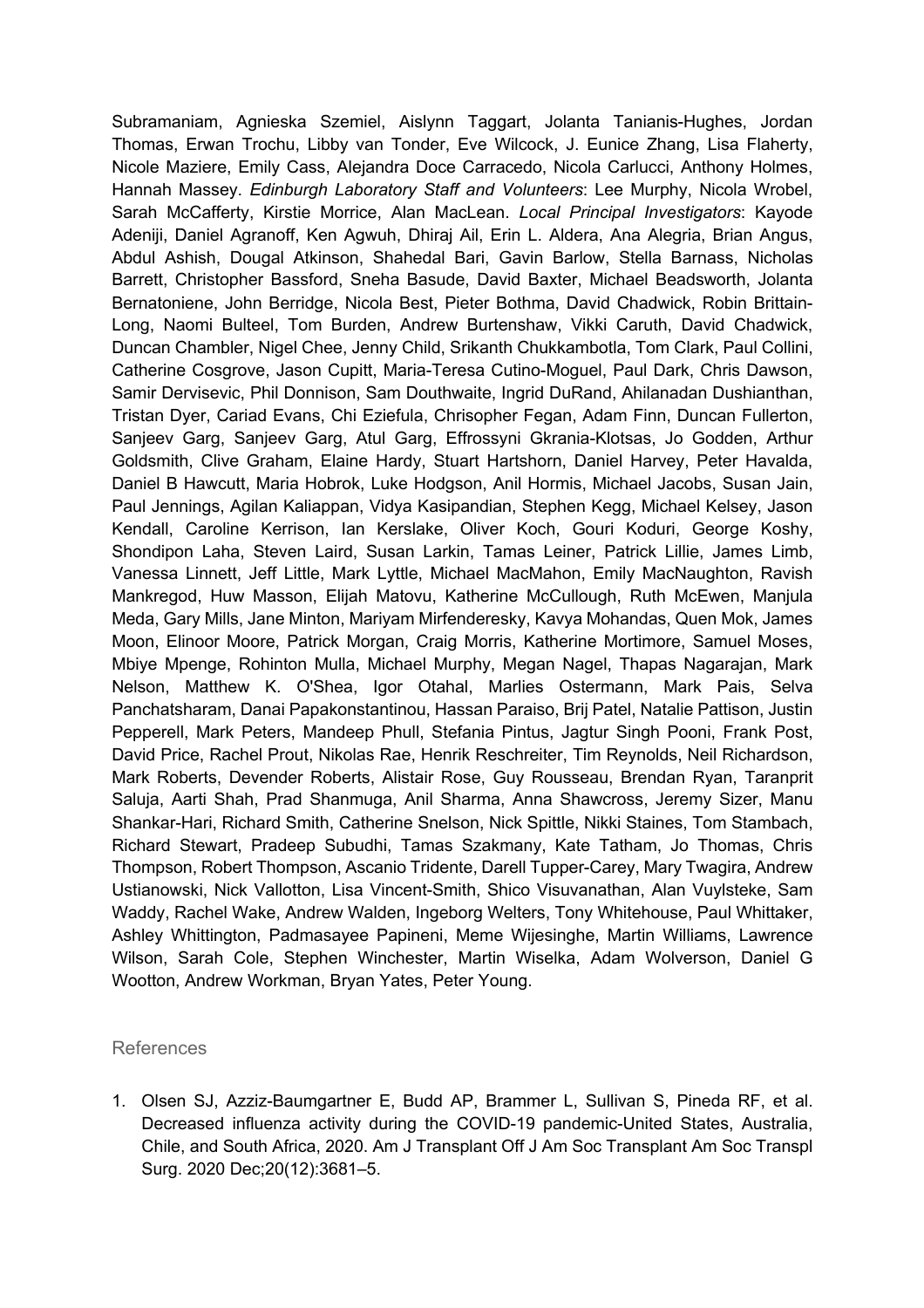Subramaniam, Agnieska Szemiel, Aislynn Taggart, Jolanta Tanianis-Hughes, Jordan Thomas, Erwan Trochu, Libby van Tonder, Eve Wilcock, J. Eunice Zhang, Lisa Flaherty, Nicole Maziere, Emily Cass, Alejandra Doce Carracedo, Nicola Carlucci, Anthony Holmes, Hannah Massey. *Edinburgh Laboratory Staff and Volunteers*: Lee Murphy, Nicola Wrobel, Sarah McCafferty, Kirstie Morrice, Alan MacLean. *Local Principal Investigators*: Kayode Adeniji, Daniel Agranoff, Ken Agwuh, Dhiraj Ail, Erin L. Aldera, Ana Alegria, Brian Angus, Abdul Ashish, Dougal Atkinson, Shahedal Bari, Gavin Barlow, Stella Barnass, Nicholas Barrett, Christopher Bassford, Sneha Basude, David Baxter, Michael Beadsworth, Jolanta Bernatoniene, John Berridge, Nicola Best, Pieter Bothma, David Chadwick, Robin Brittain-Long, Naomi Bulteel, Tom Burden, Andrew Burtenshaw, Vikki Caruth, David Chadwick, Duncan Chambler, Nigel Chee, Jenny Child, Srikanth Chukkambotla, Tom Clark, Paul Collini, Catherine Cosgrove, Jason Cupitt, Maria-Teresa Cutino-Moguel, Paul Dark, Chris Dawson, Samir Dervisevic, Phil Donnison, Sam Douthwaite, Ingrid DuRand, Ahilanadan Dushianthan, Tristan Dyer, Cariad Evans, Chi Eziefula, Chrisopher Fegan, Adam Finn, Duncan Fullerton, Sanjeev Garg, Sanjeev Garg, Atul Garg, Effrossyni Gkrania-Klotsas, Jo Godden, Arthur Goldsmith, Clive Graham, Elaine Hardy, Stuart Hartshorn, Daniel Harvey, Peter Havalda, Daniel B Hawcutt, Maria Hobrok, Luke Hodgson, Anil Hormis, Michael Jacobs, Susan Jain, Paul Jennings, Agilan Kaliappan, Vidya Kasipandian, Stephen Kegg, Michael Kelsey, Jason Kendall, Caroline Kerrison, Ian Kerslake, Oliver Koch, Gouri Koduri, George Koshy, Shondipon Laha, Steven Laird, Susan Larkin, Tamas Leiner, Patrick Lillie, James Limb, Vanessa Linnett, Jeff Little, Mark Lyttle, Michael MacMahon, Emily MacNaughton, Ravish Mankregod, Huw Masson, Elijah Matovu, Katherine McCullough, Ruth McEwen, Manjula Meda, Gary Mills, Jane Minton, Mariyam Mirfenderesky, Kavya Mohandas, Quen Mok, James Moon, Elinoor Moore, Patrick Morgan, Craig Morris, Katherine Mortimore, Samuel Moses, Mbiye Mpenge, Rohinton Mulla, Michael Murphy, Megan Nagel, Thapas Nagarajan, Mark Nelson, Matthew K. O'Shea, Igor Otahal, Marlies Ostermann, Mark Pais, Selva Panchatsharam, Danai Papakonstantinou, Hassan Paraiso, Brij Patel, Natalie Pattison, Justin Pepperell, Mark Peters, Mandeep Phull, Stefania Pintus, Jagtur Singh Pooni, Frank Post, David Price, Rachel Prout, Nikolas Rae, Henrik Reschreiter, Tim Reynolds, Neil Richardson, Mark Roberts, Devender Roberts, Alistair Rose, Guy Rousseau, Brendan Ryan, Taranprit Saluja, Aarti Shah, Prad Shanmuga, Anil Sharma, Anna Shawcross, Jeremy Sizer, Manu Shankar-Hari, Richard Smith, Catherine Snelson, Nick Spittle, Nikki Staines, Tom Stambach, Richard Stewart, Pradeep Subudhi, Tamas Szakmany, Kate Tatham, Jo Thomas, Chris Thompson, Robert Thompson, Ascanio Tridente, Darell Tupper-Carey, Mary Twagira, Andrew Ustianowski, Nick Vallotton, Lisa Vincent-Smith, Shico Visuvanathan, Alan Vuylsteke, Sam Waddy, Rachel Wake, Andrew Walden, Ingeborg Welters, Tony Whitehouse, Paul Whittaker, Ashley Whittington, Padmasayee Papineni, Meme Wijesinghe, Martin Williams, Lawrence Wilson, Sarah Cole, Stephen Winchester, Martin Wiselka, Adam Wolverson, Daniel G Wootton, Andrew Workman, Bryan Yates, Peter Young.

#### References

1. Olsen SJ, Azziz-Baumgartner E, Budd AP, Brammer L, Sullivan S, Pineda RF, et al. Decreased influenza activity during the COVID-19 pandemic-United States, Australia, Chile, and South Africa, 2020. Am J Transplant Off J Am Soc Transplant Am Soc Transpl Surg. 2020 Dec;20(12):3681–5.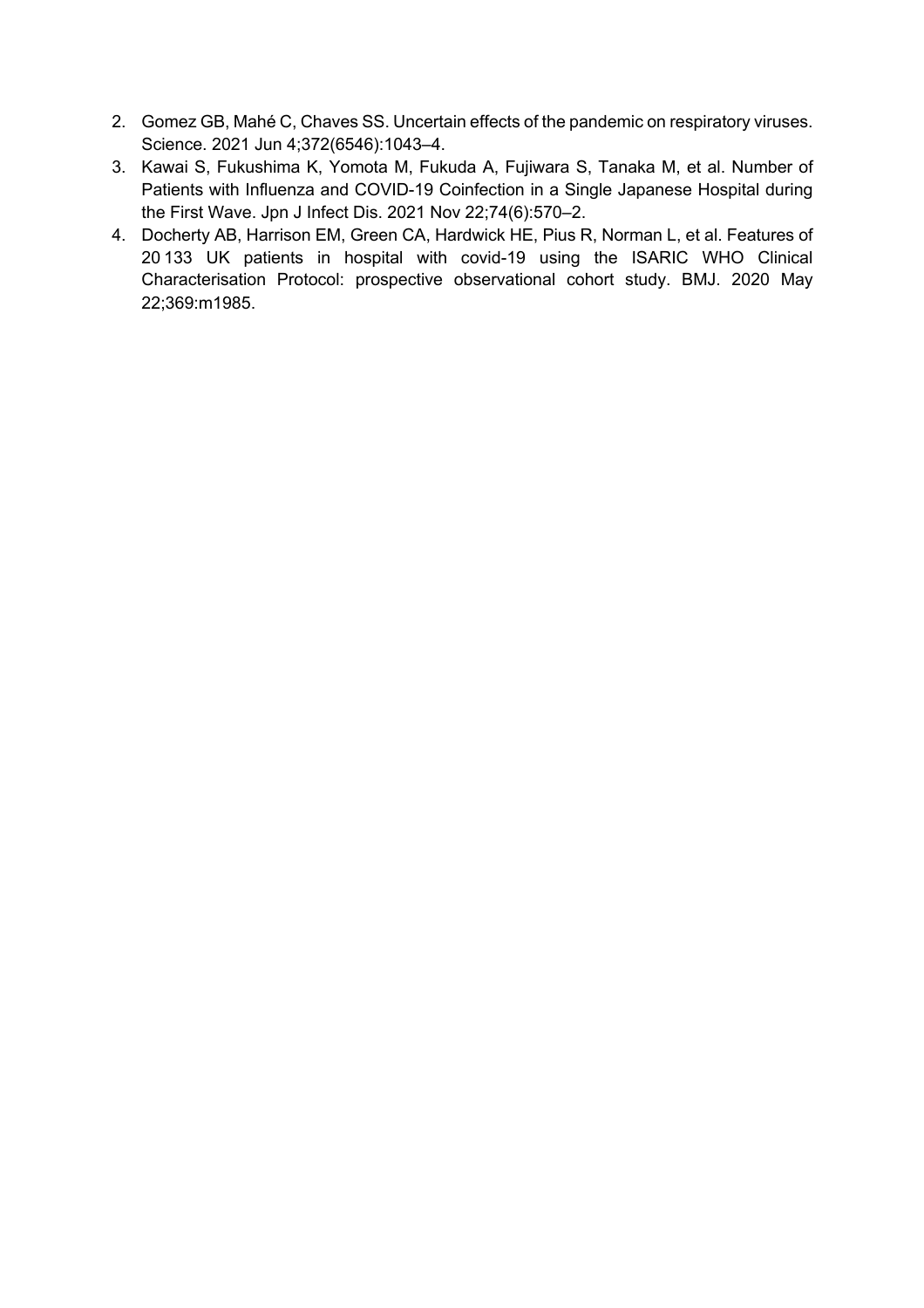- 2. Gomez GB, Mahé C, Chaves SS. Uncertain effects of the pandemic on respiratory viruses. Science. 2021 Jun 4;372(6546):1043–4.
- 3. Kawai S, Fukushima K, Yomota M, Fukuda A, Fujiwara S, Tanaka M, et al. Number of Patients with Influenza and COVID-19 Coinfection in a Single Japanese Hospital during the First Wave. Jpn J Infect Dis. 2021 Nov 22;74(6):570–2.
- 4. Docherty AB, Harrison EM, Green CA, Hardwick HE, Pius R, Norman L, et al. Features of 20 133 UK patients in hospital with covid-19 using the ISARIC WHO Clinical Characterisation Protocol: prospective observational cohort study. BMJ. 2020 May 22;369:m1985.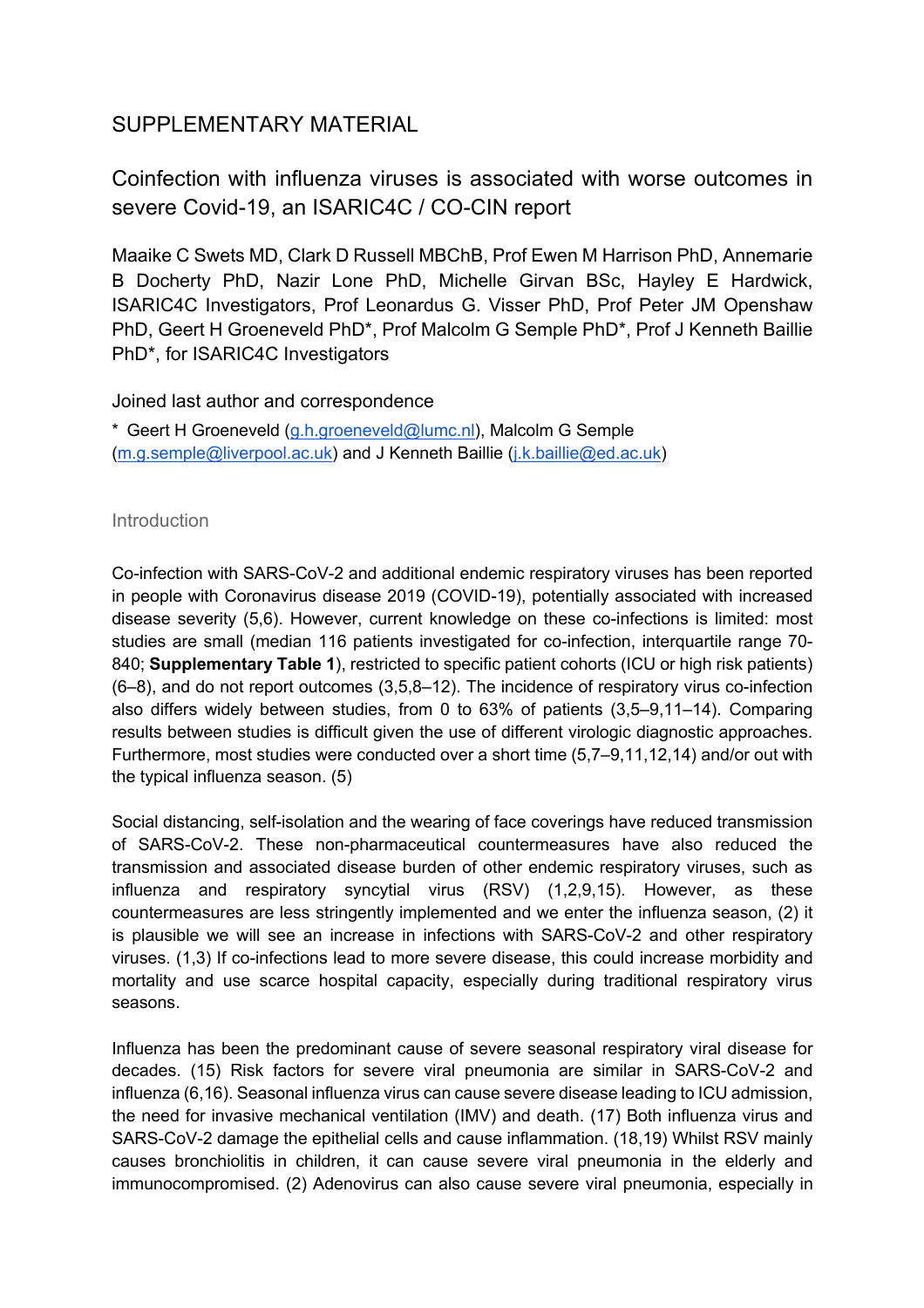# SUPPLEMENTARY MATERIAL

Coinfection with influenza viruses is associated with worse outcomes in severe Covid-19, an ISARIC4C / CO-CIN report

Maaike C Swets MD, Clark D Russell MBChB, Prof Ewen M Harrison PhD, Annemarie B Docherty PhD, Nazir Lone PhD, Michelle Girvan BSc, Hayley E Hardwick, ISARIC4C Investigators, Prof Leonardus G. Visser PhD, Prof Peter JM Openshaw PhD, Geert H Groeneveld PhD\*, Prof Malcolm G Semple PhD\*, Prof J Kenneth Baillie PhD\*, for ISARIC4C Investigators

Joined last author and correspondence

\* Geert H Groeneveld (g.h.groeneveld@lumc.nl), Malcolm G Semple (m.g.semple@liverpool.ac.uk) and J Kenneth Baillie (j.k.baillie@ed.ac.uk)

# **Introduction**

Co-infection with SARS-CoV-2 and additional endemic respiratory viruses has been reported in people with Coronavirus disease 2019 (COVID-19), potentially associated with increased disease severity (5,6). However, current knowledge on these co-infections is limited: most studies are small (median 116 patients investigated for co-infection, interquartile range 70- 840; **Supplementary Table 1**), restricted to specific patient cohorts (ICU or high risk patients) (6–8), and do not report outcomes (3,5,8–12). The incidence of respiratory virus co-infection also differs widely between studies, from 0 to 63% of patients (3,5–9,11–14). Comparing results between studies is difficult given the use of different virologic diagnostic approaches. Furthermore, most studies were conducted over a short time (5,7–9,11,12,14) and/or out with the typical influenza season. (5)

Social distancing, self-isolation and the wearing of face coverings have reduced transmission of SARS-CoV-2. These non-pharmaceutical countermeasures have also reduced the transmission and associated disease burden of other endemic respiratory viruses, such as influenza and respiratory syncytial virus (RSV) (1,2,9,15). However, as these countermeasures are less stringently implemented and we enter the influenza season, (2) it is plausible we will see an increase in infections with SARS-CoV-2 and other respiratory viruses. (1,3) If co-infections lead to more severe disease, this could increase morbidity and mortality and use scarce hospital capacity, especially during traditional respiratory virus seasons.

Influenza has been the predominant cause of severe seasonal respiratory viral disease for decades. (15) Risk factors for severe viral pneumonia are similar in SARS-CoV-2 and influenza (6,16). Seasonal influenza virus can cause severe disease leading to ICU admission, the need for invasive mechanical ventilation (IMV) and death. (17) Both influenza virus and SARS-CoV-2 damage the epithelial cells and cause inflammation. (18,19) Whilst RSV mainly causes bronchiolitis in children, it can cause severe viral pneumonia in the elderly and immunocompromised. (2) Adenovirus can also cause severe viral pneumonia, especially in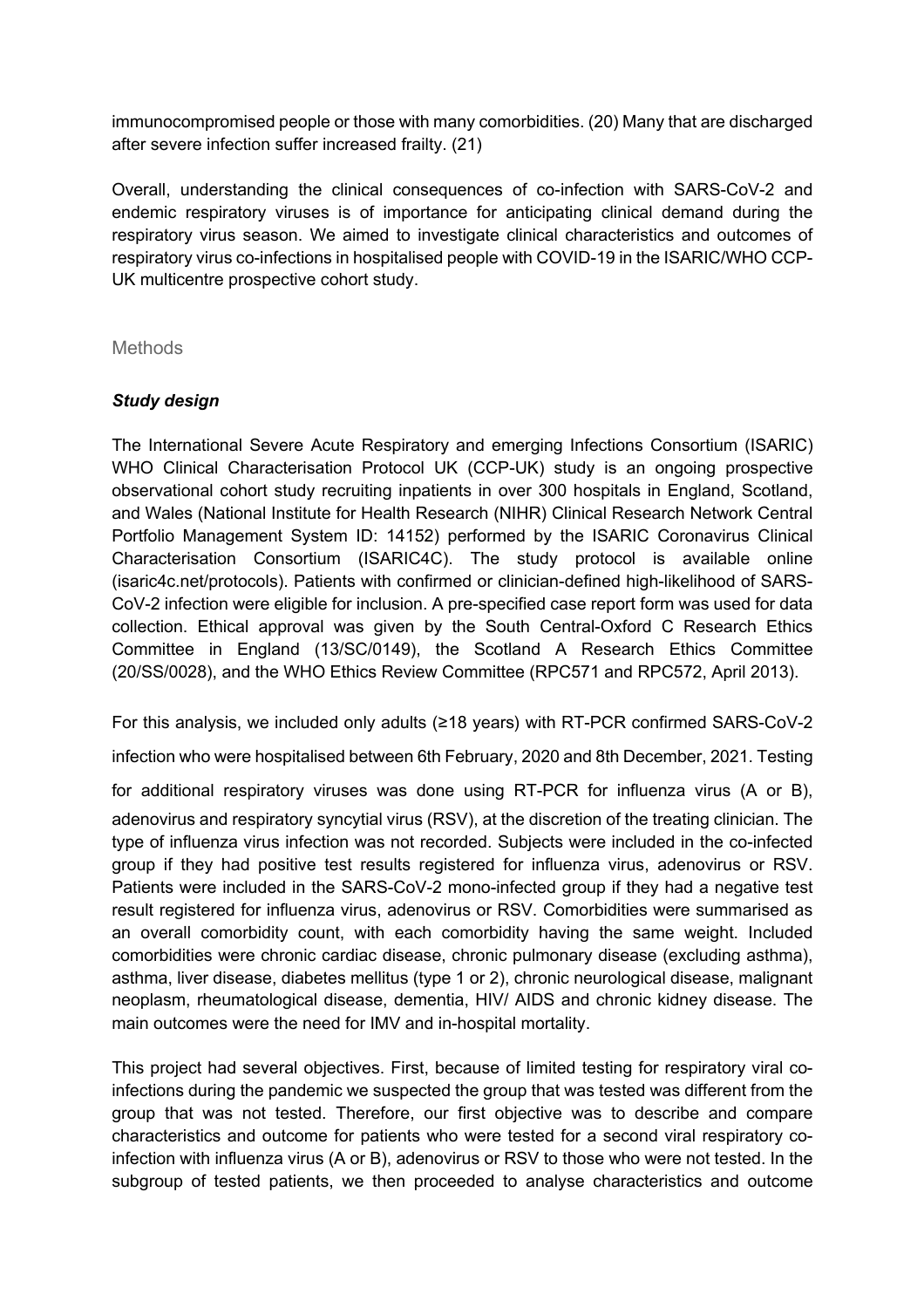immunocompromised people or those with many comorbidities. (20) Many that are discharged after severe infection suffer increased frailty. (21)

Overall, understanding the clinical consequences of co-infection with SARS-CoV-2 and endemic respiratory viruses is of importance for anticipating clinical demand during the respiratory virus season. We aimed to investigate clinical characteristics and outcomes of respiratory virus co-infections in hospitalised people with COVID-19 in the ISARIC/WHO CCP-UK multicentre prospective cohort study.

Methods

# *Study design*

The International Severe Acute Respiratory and emerging Infections Consortium (ISARIC) WHO Clinical Characterisation Protocol UK (CCP-UK) study is an ongoing prospective observational cohort study recruiting inpatients in over 300 hospitals in England, Scotland, and Wales (National Institute for Health Research (NIHR) Clinical Research Network Central Portfolio Management System ID: 14152) performed by the ISARIC Coronavirus Clinical Characterisation Consortium (ISARIC4C). The study protocol is available online (isaric4c.net/protocols). Patients with confirmed or clinician-defined high-likelihood of SARS-CoV-2 infection were eligible for inclusion. A pre-specified case report form was used for data collection. Ethical approval was given by the South Central-Oxford C Research Ethics Committee in England (13/SC/0149), the Scotland A Research Ethics Committee (20/SS/0028), and the WHO Ethics Review Committee (RPC571 and RPC572, April 2013).

For this analysis, we included only adults ( $\geq$ 18 years) with RT-PCR confirmed SARS-CoV-2

infection who were hospitalised between 6th February, 2020 and 8th December, 2021. Testing

for additional respiratory viruses was done using  $RT-PCR$  for influenza virus (A or B), adenovirus and respiratory syncytial virus (RSV), at the discretion of the treating clinician. The type of influenza virus infection was not recorded. Subjects were included in the co-infected group if they had positive test results registered for influenza virus, adenovirus or RSV. Patients were included in the SARS-CoV-2 mono-infected group if they had a negative test result registered for influenza virus, adenovirus or RSV. Comorbidities were summarised as an overall comorbidity count, with each comorbidity having the same weight. Included comorbidities were chronic cardiac disease, chronic pulmonary disease (excluding asthma), asthma, liver disease, diabetes mellitus (type 1 or 2), chronic neurological disease, malignant neoplasm, rheumatological disease, dementia, HIV/ AIDS and chronic kidney disease. The main outcomes were the need for IMV and in-hospital mortality.

This project had several objectives. First, because of limited testing for respiratory viral coinfections during the pandemic we suspected the group that was tested was different from the group that was not tested. Therefore, our first objective was to describe and compare characteristics and outcome for patients who were tested for a second viral respiratory coinfection with influenza virus (A or B), adenovirus or RSV to those who were not tested. In the subgroup of tested patients, we then proceeded to analyse characteristics and outcome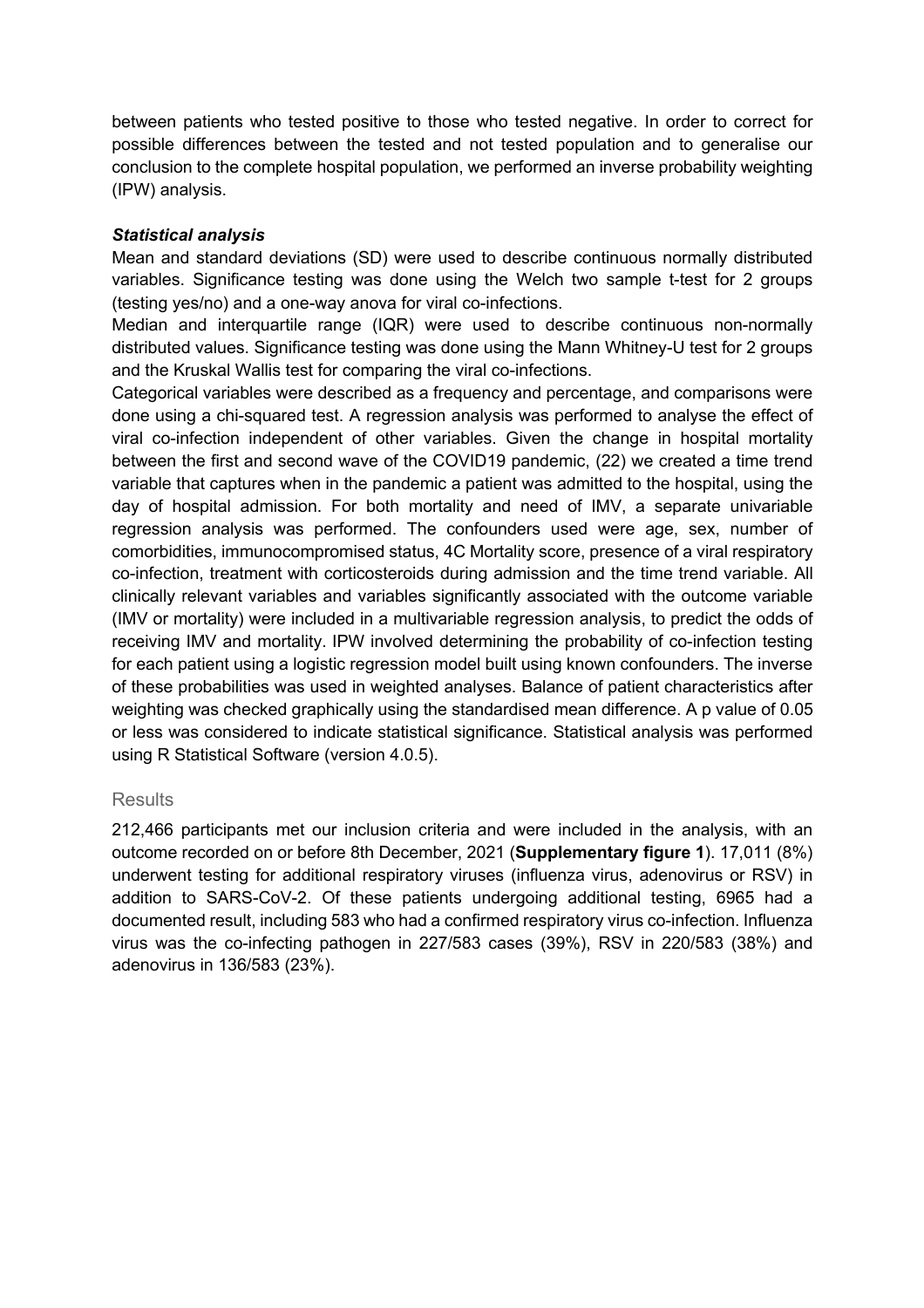between patients who tested positive to those who tested negative. In order to correct for possible differences between the tested and not tested population and to generalise our conclusion to the complete hospital population, we performed an inverse probability weighting (IPW) analysis.

#### *Statistical analysis*

Mean and standard deviations (SD) were used to describe continuous normally distributed variables. Significance testing was done using the Welch two sample t-test for 2 groups (testing yes/no) and a one-way anova for viral co-infections.

Median and interquartile range (IQR) were used to describe continuous non-normally distributed values. Significance testing was done using the Mann Whitney-U test for 2 groups and the Kruskal Wallis test for comparing the viral co-infections.

Categorical variables were described as a frequency and percentage, and comparisons were done using a chi-squared test. A regression analysis was performed to analyse the effect of viral co-infection independent of other variables. Given the change in hospital mortality between the first and second wave of the COVID19 pandemic, (22) we created a time trend variable that captures when in the pandemic a patient was admitted to the hospital, using the day of hospital admission. For both mortality and need of IMV, a separate univariable regression analysis was performed. The confounders used were age, sex, number of comorbidities, immunocompromised status, 4C Mortality score, presence of a viral respiratory co-infection, treatment with corticosteroids during admission and the time trend variable. All clinically relevant variables and variables significantly associated with the outcome variable (IMV or mortality) were included in a multivariable regression analysis, to predict the odds of receiving IMV and mortality. IPW involved determining the probability of co-infection testing for each patient using a logistic regression model built using known confounders. The inverse of these probabilities was used in weighted analyses. Balance of patient characteristics after weighting was checked graphically using the standardised mean difference. A p value of 0.05 or less was considered to indicate statistical significance. Statistical analysis was performed using R Statistical Software (version 4.0.5).

#### **Results**

212,466 participants met our inclusion criteria and were included in the analysis, with an outcome recorded on or before 8th December, 2021 (**Supplementary figure 1**). 17,011 (8%) underwent testing for additional respiratory viruses (influenza virus, adenovirus or RSV) in addition to SARS-CoV-2. Of these patients undergoing additional testing, 6965 had a documented result, including 583 who had a confirmed respiratory virus co-infection. Influenza virus was the co-infecting pathogen in 227/583 cases (39%), RSV in 220/583 (38%) and adenovirus in 136/583 (23%).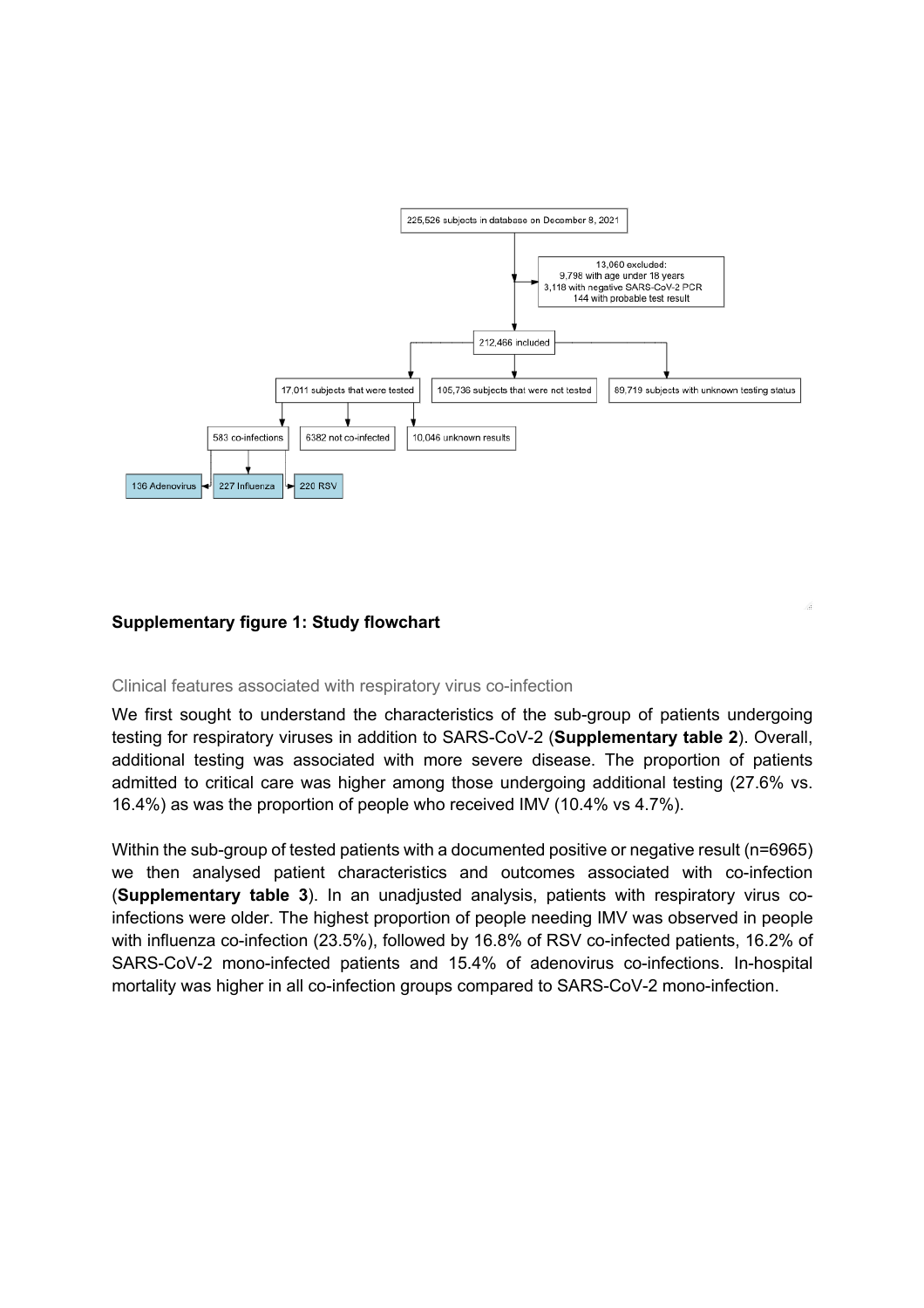

#### **Supplementary figure 1: Study flowchart**

#### Clinical features associated with respiratory virus co-infection

We first sought to understand the characteristics of the sub-group of patients undergoing testing for respiratory viruses in addition to SARS-CoV-2 (**Supplementary table 2**). Overall, additional testing was associated with more severe disease. The proportion of patients admitted to critical care was higher among those undergoing additional testing (27.6% vs. 16.4%) as was the proportion of people who received IMV (10.4% vs 4.7%).

Within the sub-group of tested patients with a documented positive or negative result (n=6965) we then analysed patient characteristics and outcomes associated with co-infection (**Supplementary table 3**). In an unadjusted analysis, patients with respiratory virus coinfections were older. The highest proportion of people needing IMV was observed in people with influenza co-infection (23.5%), followed by 16.8% of RSV co-infected patients, 16.2% of SARS-CoV-2 mono-infected patients and 15.4% of adenovirus co-infections. In-hospital mortality was higher in all co-infection groups compared to SARS-CoV-2 mono-infection.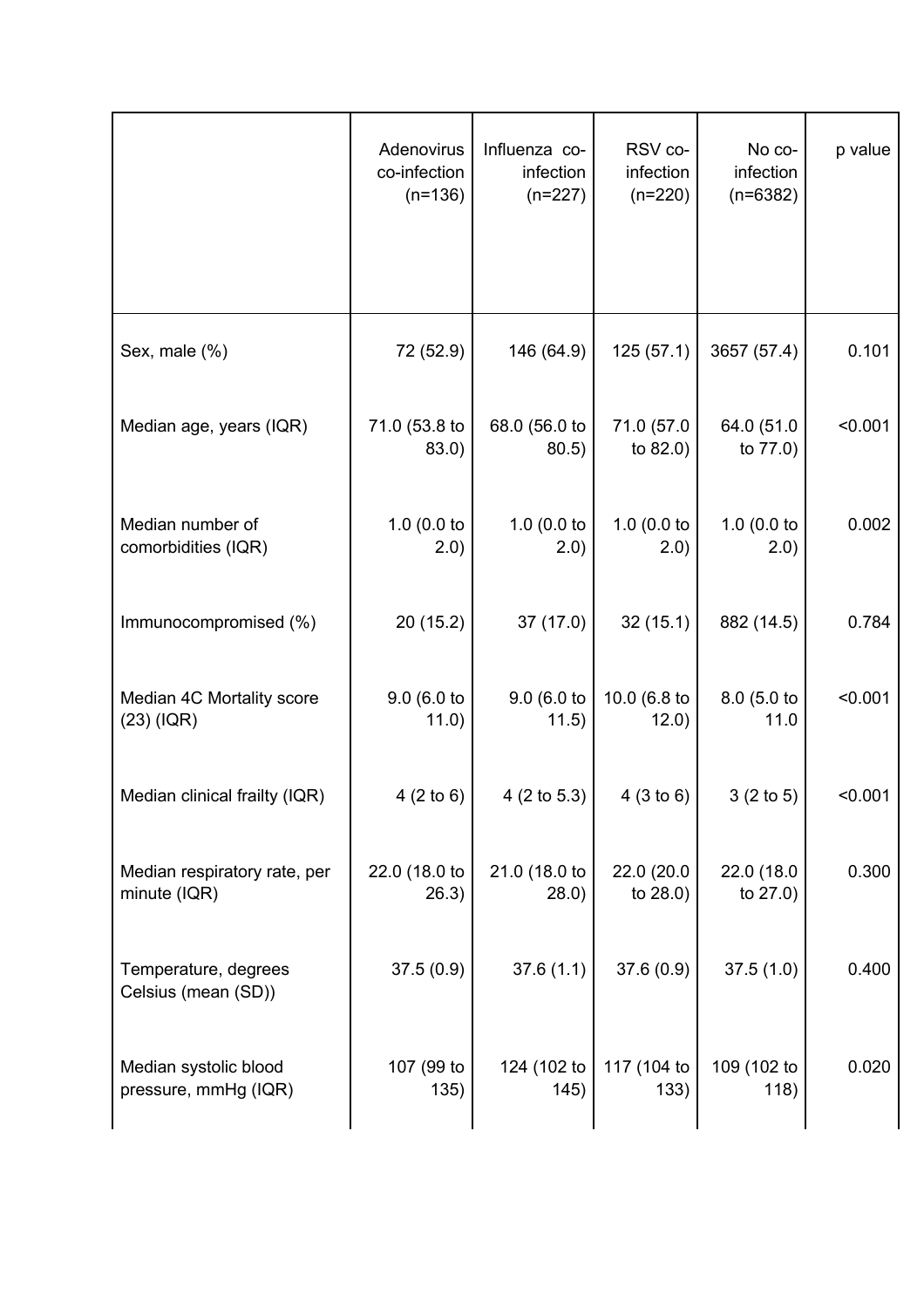|                                               | Adenovirus<br>co-infection<br>$(n=136)$ | Influenza co-<br>infection<br>$(n=227)$ | RSV co-<br>infection<br>$(n=220)$ | No co-<br>infection<br>$(n=6382)$ | p value |
|-----------------------------------------------|-----------------------------------------|-----------------------------------------|-----------------------------------|-----------------------------------|---------|
| Sex, male (%)                                 | 72 (52.9)                               | 146 (64.9)                              | 125(57.1)                         | 3657 (57.4)                       | 0.101   |
| Median age, years (IQR)                       | 71.0 (53.8 to<br>83.0)                  | 68.0 (56.0 to<br>80.5)                  | 71.0 (57.0<br>to 82.0)            | 64.0 (51.0<br>to 77.0)            | < 0.001 |
| Median number of<br>comorbidities (IQR)       | 1.0 $(0.0)$ to<br>2.0)                  | 1.0 $(0.0)$ to<br>(2.0)                 | 1.0 $(0.0)$ to<br>(2.0)           | 1.0 $(0.0)$ to<br>(2.0)           | 0.002   |
| Immunocompromised (%)                         | 20(15.2)                                | 37(17.0)                                | 32(15.1)                          | 882 (14.5)                        | 0.784   |
| Median 4C Mortality score<br>$(23)$ (IQR)     | 9.0 (6.0 to<br>11.0)                    | 9.0 (6.0 to<br>11.5)                    | 10.0 (6.8 to<br>12.0)             | 8.0 (5.0 to<br>11.0               | < 0.001 |
| Median clinical frailty (IQR)                 | 4(2 to 6)                               | $4(2 \text{ to } 5.3)$                  | 4(3 to 6)                         | 3(2 to 5)                         | < 0.001 |
| Median respiratory rate, per<br>minute (IQR)  | 22.0 (18.0 to<br>26.3)                  | 21.0 (18.0 to<br>(28.0)                 | 22.0 (20.0)<br>to $28.0$ )        | 22.0 (18.0<br>to $27.0$ )         | 0.300   |
| Temperature, degrees<br>Celsius (mean (SD))   | 37.5(0.9)                               | 37.6(1.1)                               | 37.6(0.9)                         | 37.5(1.0)                         | 0.400   |
| Median systolic blood<br>pressure, mmHg (IQR) | 107 (99 to<br>135)                      | 124 (102 to<br>145)                     | 117 (104 to<br>133)               | 109 (102 to<br>118)               | 0.020   |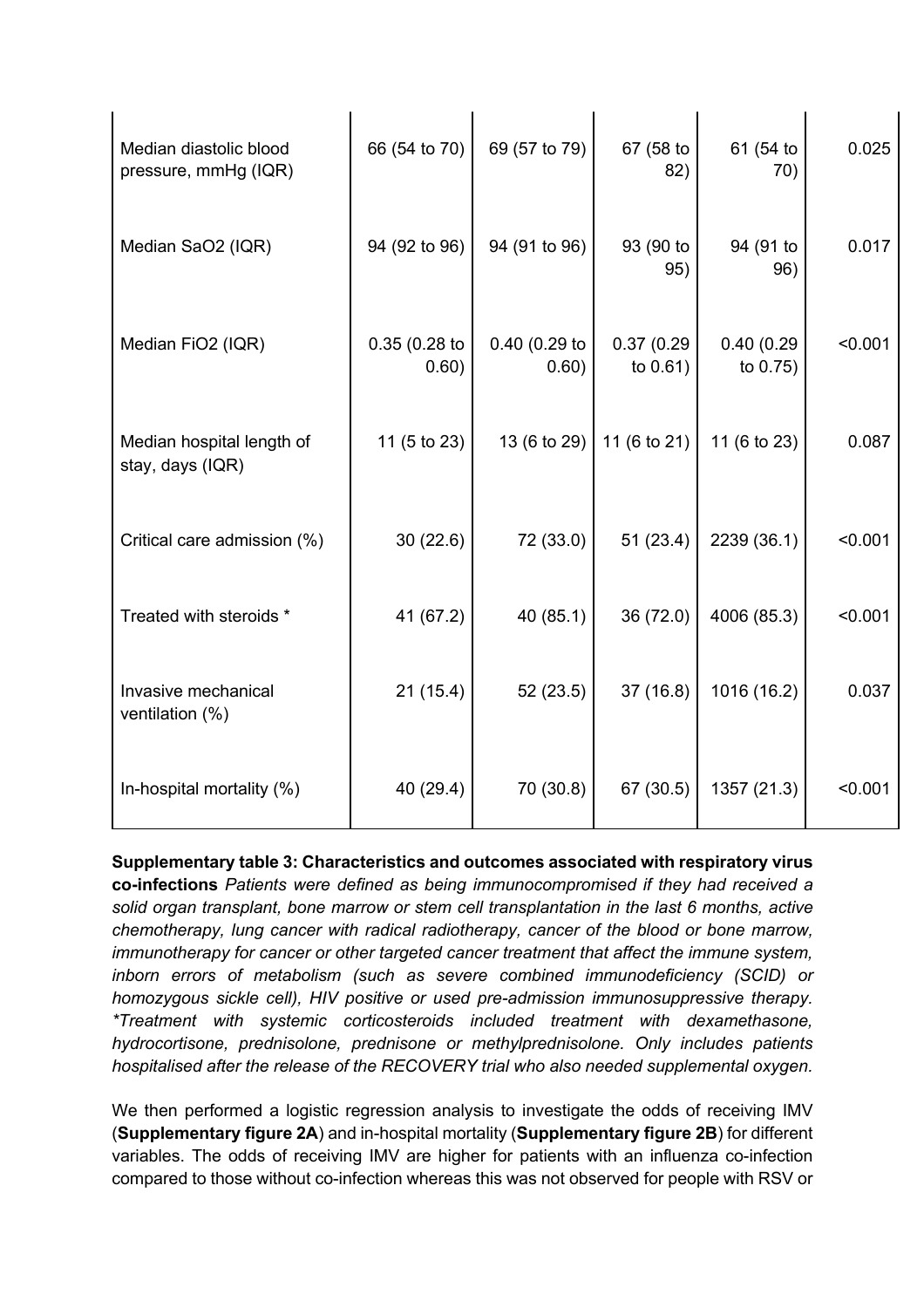| Median diastolic blood<br>pressure, mmHg (IQR) | 66 (54 to 70)            | 69 (57 to 79)          | 67 (58 to<br>82)          | 61 (54 to<br>70)       | 0.025   |
|------------------------------------------------|--------------------------|------------------------|---------------------------|------------------------|---------|
| Median SaO2 (IQR)                              | 94 (92 to 96)            | 94 (91 to 96)          | 93 (90 to<br>95)          | 94 (91 to<br>96)       | 0.017   |
| Median FiO2 (IQR)                              | $0.35(0.28)$ to<br>0.60) | 0.40 (0.29 to<br>0.60) | 0.37(0.29)<br>to $0.61$ ) | 0.40(0.29)<br>to 0.75) | < 0.001 |
| Median hospital length of<br>stay, days (IQR)  | 11 (5 to 23)             |                        | 13 (6 to 29) 11 (6 to 21) | 11 (6 to 23)           | 0.087   |
| Critical care admission (%)                    | 30(22.6)                 | 72 (33.0)              | 51(23.4)                  | 2239 (36.1)            | < 0.001 |
| Treated with steroids *                        | 41 (67.2)                | 40 (85.1)              | 36 (72.0)                 | 4006 (85.3)            | < 0.001 |
| Invasive mechanical<br>ventilation (%)         | 21(15.4)                 | 52(23.5)               | 37(16.8)                  | 1016 (16.2)            | 0.037   |
| In-hospital mortality (%)                      | 40 (29.4)                | 70 (30.8)              | 67 (30.5)                 | 1357 (21.3)            | < 0.001 |

**Supplementary table 3: Characteristics and outcomes associated with respiratory virus co-infections** *Patients were defined as being immunocompromised if they had received a solid organ transplant, bone marrow or stem cell transplantation in the last 6 months, active chemotherapy, lung cancer with radical radiotherapy, cancer of the blood or bone marrow, immunotherapy for cancer or other targeted cancer treatment that affect the immune system, inborn errors of metabolism (such as severe combined immunodeficiency (SCID) or homozygous sickle cell), HIV positive or used pre-admission immunosuppressive therapy. \*Treatment with systemic corticosteroids included treatment with dexamethasone, hydrocortisone, prednisolone, prednisone or methylprednisolone. Only includes patients hospitalised after the release of the RECOVERY trial who also needed supplemental oxygen.* 

We then performed a logistic regression analysis to investigate the odds of receiving IMV (**Supplementary figure 2A**) and in-hospital mortality (**Supplementary figure 2B**) for different variables. The odds of receiving IMV are higher for patients with an influenza co-infection compared to those without co-infection whereas this was not observed for people with RSV or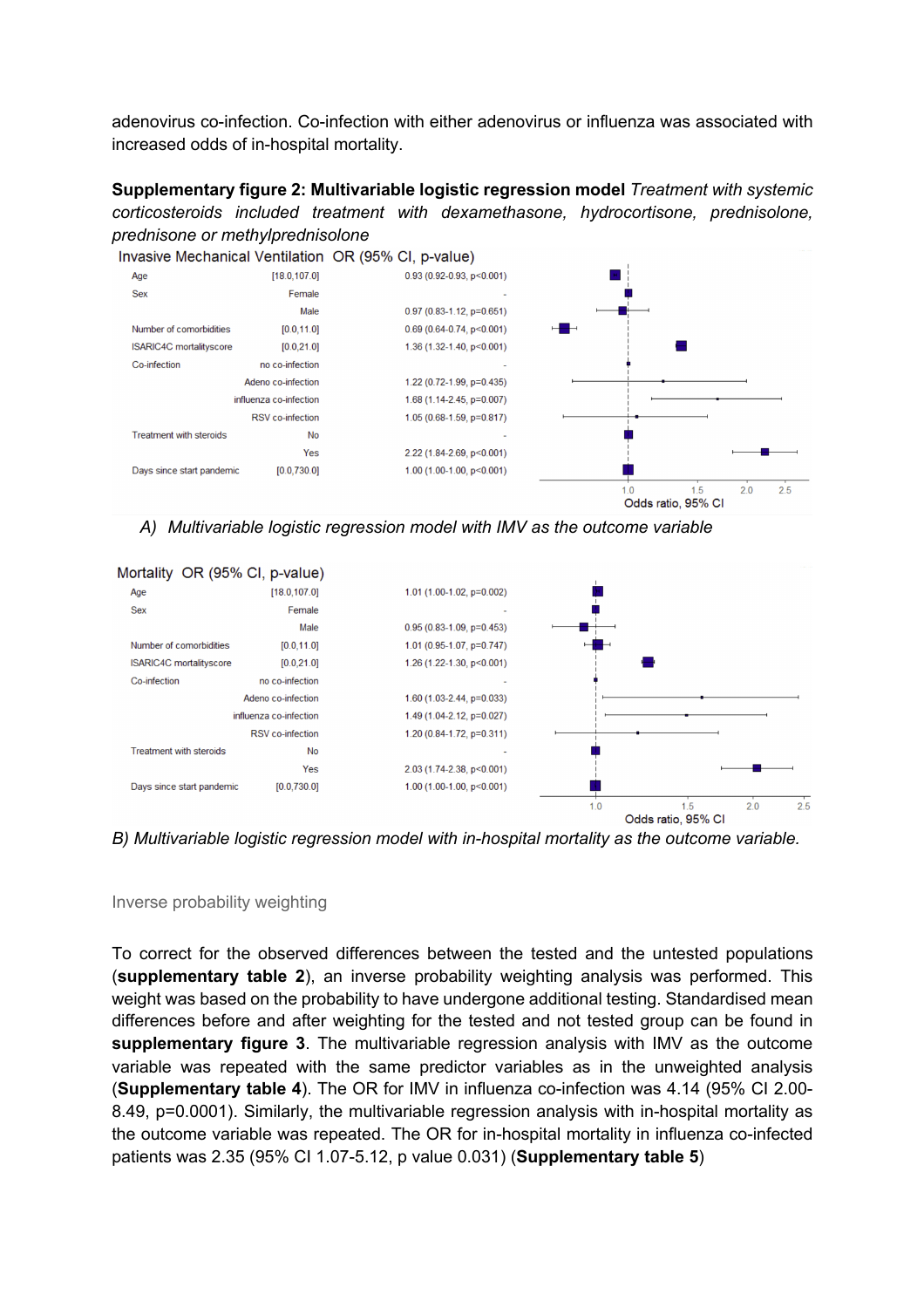adenovirus co-infection. Co-infection with either adenovirus or influenza was associated with increased odds of in-hospital mortality.

**Supplementary figure 2: Multivariable logistic regression model** *Treatment with systemic corticosteroids included treatment with dexamethasone, hydrocortisone, prednisolone, prednisone or methylprednisolone*



*A) Multivariable logistic regression model with IMV as the outcome variable*



*B) Multivariable logistic regression model with in-hospital mortality as the outcome variable.*

#### Inverse probability weighting

To correct for the observed differences between the tested and the untested populations (**supplementary table 2**), an inverse probability weighting analysis was performed. This weight was based on the probability to have undergone additional testing. Standardised mean differences before and after weighting for the tested and not tested group can be found in **supplementary figure 3**. The multivariable regression analysis with IMV as the outcome variable was repeated with the same predictor variables as in the unweighted analysis (**Supplementary table 4**). The OR for IMV in influenza co-infection was 4.14 (95% CI 2.00- 8.49, p=0.0001). Similarly, the multivariable regression analysis with in-hospital mortality as the outcome variable was repeated. The OR for in-hospital mortality in influenza co-infected patients was 2.35 (95% CI 1.07-5.12, p value 0.031) (**Supplementary table 5**)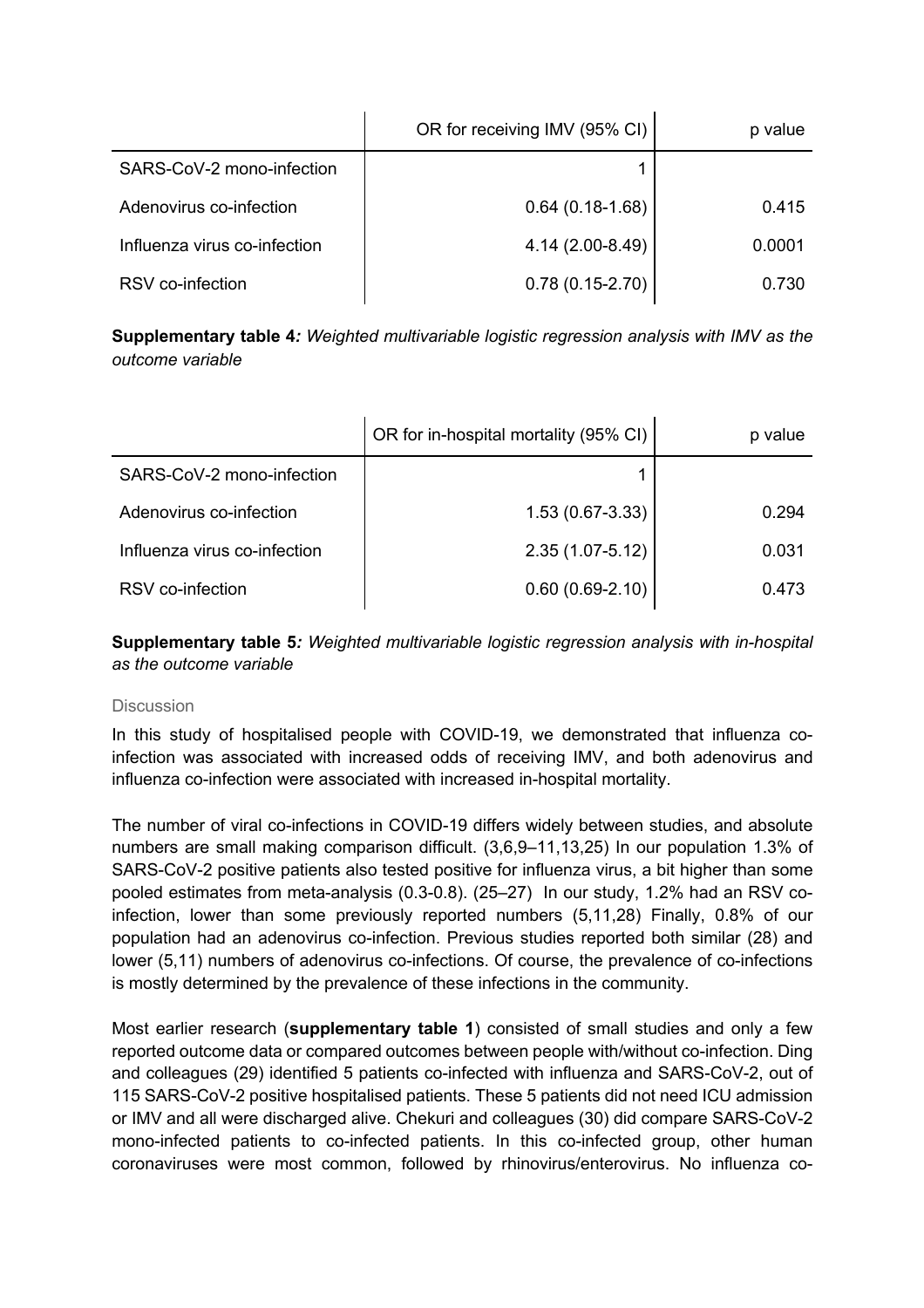|                              | OR for receiving IMV (95% CI) | p value |
|------------------------------|-------------------------------|---------|
| SARS-CoV-2 mono-infection    |                               |         |
| Adenovirus co-infection      | $0.64(0.18-1.68)$             | 0.415   |
| Influenza virus co-infection | 4.14 (2.00-8.49)              | 0.0001  |
| RSV co-infection             | $0.78(0.15-2.70)$             | 0.730   |

**Supplementary table 4***: Weighted multivariable logistic regression analysis with IMV as the outcome variable*

|                              | OR for in-hospital mortality (95% CI) | p value |
|------------------------------|---------------------------------------|---------|
| SARS-CoV-2 mono-infection    |                                       |         |
| Adenovirus co-infection      | $1.53(0.67-3.33)$                     | 0.294   |
| Influenza virus co-infection | $2.35(1.07 - 5.12)$                   | 0.031   |
| RSV co-infection             | $0.60(0.69-2.10)$                     | 0.473   |

**Supplementary table 5***: Weighted multivariable logistic regression analysis with in-hospital as the outcome variable*

#### **Discussion**

In this study of hospitalised people with COVID-19, we demonstrated that influenza coinfection was associated with increased odds of receiving IMV, and both adenovirus and influenza co-infection were associated with increased in-hospital mortality.

The number of viral co-infections in COVID-19 differs widely between studies, and absolute numbers are small making comparison difficult. (3,6,9–11,13,25) In our population 1.3% of SARS-CoV-2 positive patients also tested positive for influenza virus, a bit higher than some pooled estimates from meta-analysis (0.3-0.8). (25–27) In our study, 1.2% had an RSV coinfection, lower than some previously reported numbers (5,11,28) Finally, 0.8% of our population had an adenovirus co-infection. Previous studies reported both similar (28) and lower (5,11) numbers of adenovirus co-infections. Of course, the prevalence of co-infections is mostly determined by the prevalence of these infections in the community.

Most earlier research (**supplementary table 1**) consisted of small studies and only a few reported outcome data or compared outcomes between people with/without co-infection. Ding and colleagues (29) identified 5 patients co-infected with influenza and SARS-CoV-2, out of 115 SARS-CoV-2 positive hospitalised patients. These 5 patients did not need ICU admission or IMV and all were discharged alive. Chekuri and colleagues (30) did compare SARS-CoV-2 mono-infected patients to co-infected patients. In this co-infected group, other human coronaviruses were most common, followed by rhinovirus/enterovirus. No influenza co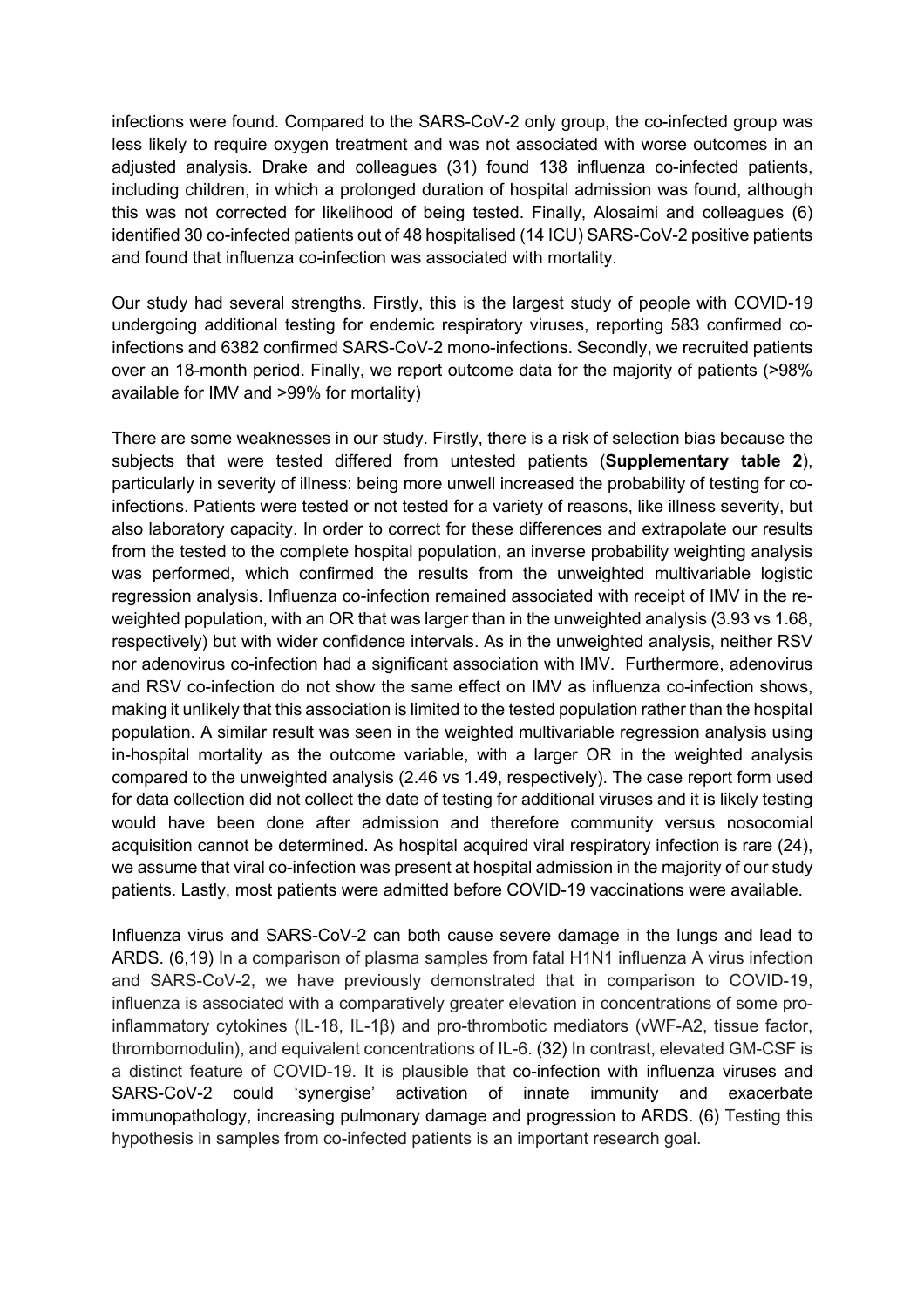infections were found. Compared to the SARS-CoV-2 only group, the co-infected group was less likely to require oxygen treatment and was not associated with worse outcomes in an adjusted analysis. Drake and colleagues (31) found 138 influenza co-infected patients, including children, in which a prolonged duration of hospital admission was found, although this was not corrected for likelihood of being tested. Finally, Alosaimi and colleagues (6) identified 30 co-infected patients out of 48 hospitalised (14 ICU) SARS-CoV-2 positive patients and found that influenza co-infection was associated with mortality.

Our study had several strengths. Firstly, this is the largest study of people with COVID-19 undergoing additional testing for endemic respiratory viruses, reporting 583 confirmed coinfections and 6382 confirmed SARS-CoV-2 mono-infections. Secondly, we recruited patients over an 18-month period. Finally, we report outcome data for the majority of patients (>98% available for IMV and >99% for mortality)

There are some weaknesses in our study. Firstly, there is a risk of selection bias because the subjects that were tested differed from untested patients (**Supplementary table 2**), particularly in severity of illness: being more unwell increased the probability of testing for coinfections. Patients were tested or not tested for a variety of reasons, like illness severity, but also laboratory capacity. In order to correct for these differences and extrapolate our results from the tested to the complete hospital population, an inverse probability weighting analysis was performed, which confirmed the results from the unweighted multivariable logistic regression analysis. Influenza co-infection remained associated with receipt of IMV in the reweighted population, with an OR that was larger than in the unweighted analysis (3.93 vs 1.68, respectively) but with wider confidence intervals. As in the unweighted analysis, neither RSV nor adenovirus co-infection had a significant association with IMV. Furthermore, adenovirus and RSV co-infection do not show the same effect on IMV as influenza co-infection shows, making it unlikely that this association is limited to the tested population rather than the hospital population. A similar result was seen in the weighted multivariable regression analysis using in-hospital mortality as the outcome variable, with a larger OR in the weighted analysis compared to the unweighted analysis (2.46 vs 1.49, respectively). The case report form used for data collection did not collect the date of testing for additional viruses and it is likely testing would have been done after admission and therefore community versus nosocomial acquisition cannot be determined. As hospital acquired viral respiratory infection is rare (24), we assume that viral co-infection was present at hospital admission in the majority of our study patients. Lastly, most patients were admitted before COVID-19 vaccinations were available.

Influenza virus and SARS-CoV-2 can both cause severe damage in the lungs and lead to ARDS. (6,19) In a comparison of plasma samples from fatal H1N1 influenza A virus infection and SARS-CoV-2, we have previously demonstrated that in comparison to COVID-19, influenza is associated with a comparatively greater elevation in concentrations of some proinflammatory cytokines (IL-18, IL-1β) and pro-thrombotic mediators (vWF-A2, tissue factor, thrombomodulin), and equivalent concentrations of IL-6. (32) In contrast, elevated GM-CSF is a distinct feature of COVID-19. It is plausible that co-infection with influenza viruses and SARS-CoV-2 could 'synergise' activation of innate immunity and exacerbate immunopathology, increasing pulmonary damage and progression to ARDS. (6) Testing this hypothesis in samples from co-infected patients is an important research goal.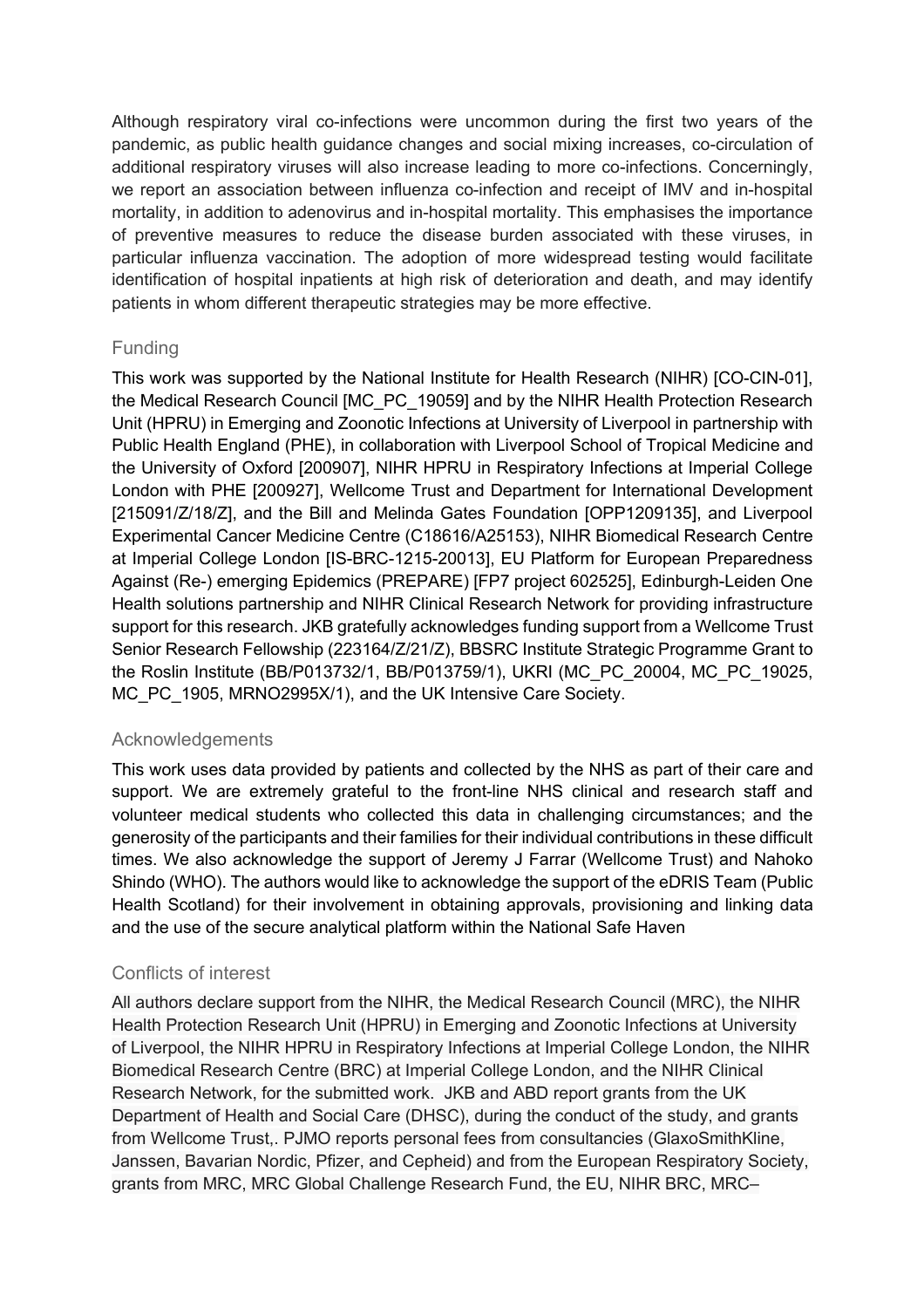Although respiratory viral co-infections were uncommon during the first two years of the pandemic, as public health guidance changes and social mixing increases, co-circulation of additional respiratory viruses will also increase leading to more co-infections. Concerningly, we report an association between influenza co-infection and receipt of IMV and in-hospital mortality, in addition to adenovirus and in-hospital mortality. This emphasises the importance of preventive measures to reduce the disease burden associated with these viruses, in particular influenza vaccination. The adoption of more widespread testing would facilitate identification of hospital inpatients at high risk of deterioration and death, and may identify patients in whom different therapeutic strategies may be more effective.

# Funding

This work was supported by the National Institute for Health Research (NIHR) [CO-CIN-01], the Medical Research Council [MC\_PC\_19059] and by the NIHR Health Protection Research Unit (HPRU) in Emerging and Zoonotic Infections at University of Liverpool in partnership with Public Health England (PHE), in collaboration with Liverpool School of Tropical Medicine and the University of Oxford [200907], NIHR HPRU in Respiratory Infections at Imperial College London with PHE [200927], Wellcome Trust and Department for International Development [215091/Z/18/Z], and the Bill and Melinda Gates Foundation [OPP1209135], and Liverpool Experimental Cancer Medicine Centre (C18616/A25153), NIHR Biomedical Research Centre at Imperial College London [IS-BRC-1215-20013], EU Platform for European Preparedness Against (Re-) emerging Epidemics (PREPARE) [FP7 project 602525], Edinburgh-Leiden One Health solutions partnership and NIHR Clinical Research Network for providing infrastructure support for this research. JKB gratefully acknowledges funding support from a Wellcome Trust Senior Research Fellowship (223164/Z/21/Z), BBSRC Institute Strategic Programme Grant to the Roslin Institute (BB/P013732/1, BB/P013759/1), UKRI (MC\_PC\_20004, MC\_PC\_19025, MC\_PC\_1905, MRNO2995X/1), and the UK Intensive Care Society.

# Acknowledgements

This work uses data provided by patients and collected by the NHS as part of their care and support. We are extremely grateful to the front-line NHS clinical and research staff and volunteer medical students who collected this data in challenging circumstances; and the generosity of the participants and their families for their individual contributions in these difficult times. We also acknowledge the support of Jeremy J Farrar (Wellcome Trust) and Nahoko Shindo (WHO). The authors would like to acknowledge the support of the eDRIS Team (Public Health Scotland) for their involvement in obtaining approvals, provisioning and linking data and the use of the secure analytical platform within the National Safe Haven

# Conflicts of interest

All authors declare support from the NIHR, the Medical Research Council (MRC), the NIHR Health Protection Research Unit (HPRU) in Emerging and Zoonotic Infections at University of Liverpool, the NIHR HPRU in Respiratory Infections at Imperial College London, the NIHR Biomedical Research Centre (BRC) at Imperial College London, and the NIHR Clinical Research Network, for the submitted work. JKB and ABD report grants from the UK Department of Health and Social Care (DHSC), during the conduct of the study, and grants from Wellcome Trust,. PJMO reports personal fees from consultancies (GlaxoSmithKline, Janssen, Bavarian Nordic, Pfizer, and Cepheid) and from the European Respiratory Society, grants from MRC, MRC Global Challenge Research Fund, the EU, NIHR BRC, MRC–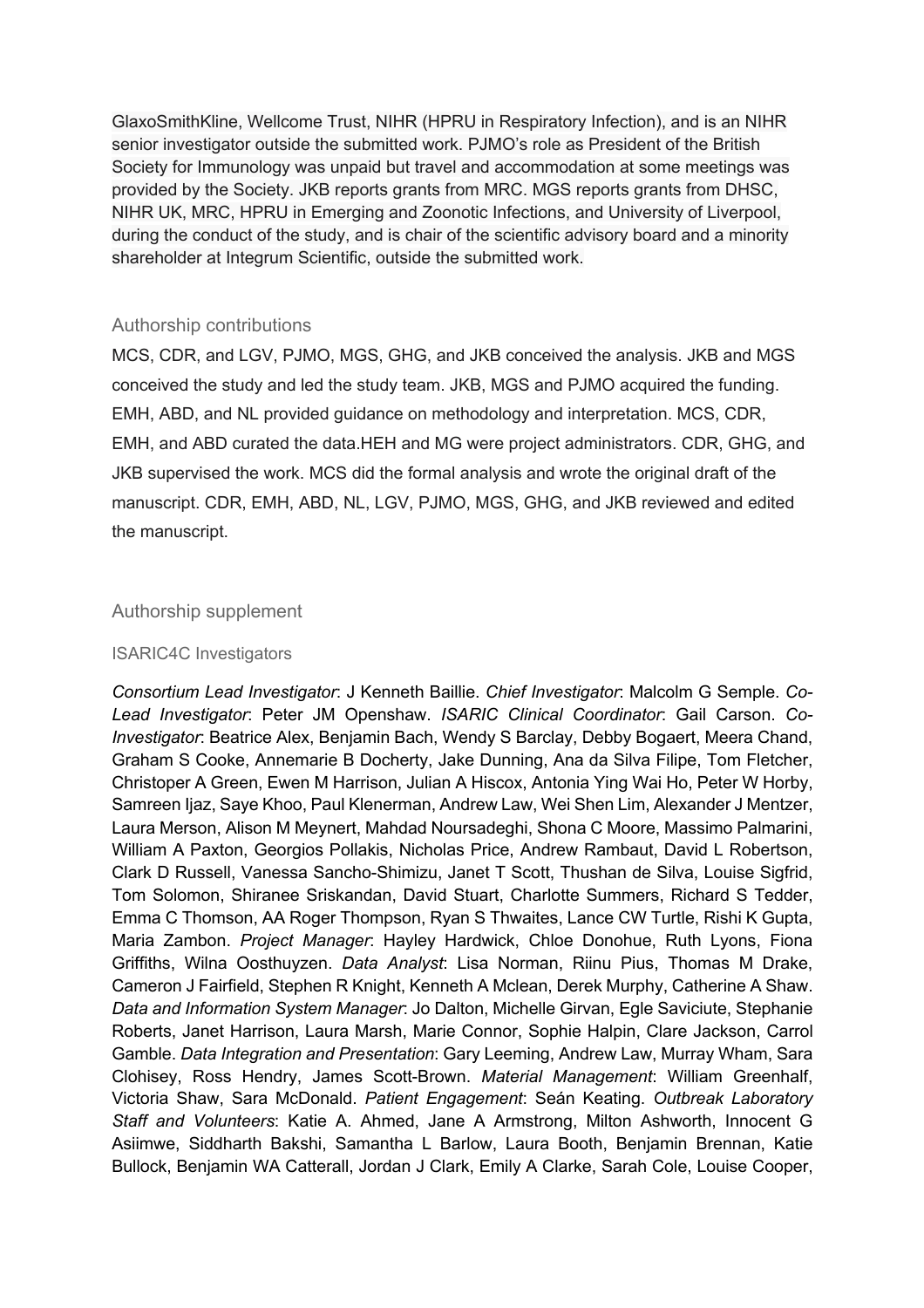GlaxoSmithKline, Wellcome Trust, NIHR (HPRU in Respiratory Infection), and is an NIHR senior investigator outside the submitted work. PJMO's role as President of the British Society for Immunology was unpaid but travel and accommodation at some meetings was provided by the Society. JKB reports grants from MRC. MGS reports grants from DHSC, NIHR UK, MRC, HPRU in Emerging and Zoonotic Infections, and University of Liverpool, during the conduct of the study, and is chair of the scientific advisory board and a minority shareholder at Integrum Scientific, outside the submitted work.

#### Authorship contributions

MCS, CDR, and LGV, PJMO, MGS, GHG, and JKB conceived the analysis. JKB and MGS conceived the study and led the study team. JKB, MGS and PJMO acquired the funding. EMH, ABD, and NL provided guidance on methodology and interpretation. MCS, CDR, EMH, and ABD curated the data.HEH and MG were project administrators. CDR, GHG, and JKB supervised the work. MCS did the formal analysis and wrote the original draft of the manuscript. CDR, EMH, ABD, NL, LGV, PJMO, MGS, GHG, and JKB reviewed and edited the manuscript.

#### Authorship supplement

#### ISARIC4C Investigators

*Consortium Lead Investigator*: J Kenneth Baillie. *Chief Investigator*: Malcolm G Semple. *Co-Lead Investigator*: Peter JM Openshaw. *ISARIC Clinical Coordinator*: Gail Carson. *Co-Investigator*: Beatrice Alex, Benjamin Bach, Wendy S Barclay, Debby Bogaert, Meera Chand, Graham S Cooke, Annemarie B Docherty, Jake Dunning, Ana da Silva Filipe, Tom Fletcher, Christoper A Green, Ewen M Harrison, Julian A Hiscox, Antonia Ying Wai Ho, Peter W Horby, Samreen Ijaz, Saye Khoo, Paul Klenerman, Andrew Law, Wei Shen Lim, Alexander J Mentzer, Laura Merson, Alison M Meynert, Mahdad Noursadeghi, Shona C Moore, Massimo Palmarini, William A Paxton, Georgios Pollakis, Nicholas Price, Andrew Rambaut, David L Robertson, Clark D Russell, Vanessa Sancho-Shimizu, Janet T Scott, Thushan de Silva, Louise Sigfrid, Tom Solomon, Shiranee Sriskandan, David Stuart, Charlotte Summers, Richard S Tedder, Emma C Thomson, AA Roger Thompson, Ryan S Thwaites, Lance CW Turtle, Rishi K Gupta, Maria Zambon. *Project Manager*: Hayley Hardwick, Chloe Donohue, Ruth Lyons, Fiona Griffiths, Wilna Oosthuyzen. *Data Analyst*: Lisa Norman, Riinu Pius, Thomas M Drake, Cameron J Fairfield, Stephen R Knight, Kenneth A Mclean, Derek Murphy, Catherine A Shaw. *Data and Information System Manager*: Jo Dalton, Michelle Girvan, Egle Saviciute, Stephanie Roberts, Janet Harrison, Laura Marsh, Marie Connor, Sophie Halpin, Clare Jackson, Carrol Gamble. *Data Integration and Presentation*: Gary Leeming, Andrew Law, Murray Wham, Sara Clohisey, Ross Hendry, James Scott-Brown. *Material Management*: William Greenhalf, Victoria Shaw, Sara McDonald. *Patient Engagement*: Seán Keating. *Outbreak Laboratory Staff and Volunteers*: Katie A. Ahmed, Jane A Armstrong, Milton Ashworth, Innocent G Asiimwe, Siddharth Bakshi, Samantha L Barlow, Laura Booth, Benjamin Brennan, Katie Bullock, Benjamin WA Catterall, Jordan J Clark, Emily A Clarke, Sarah Cole, Louise Cooper,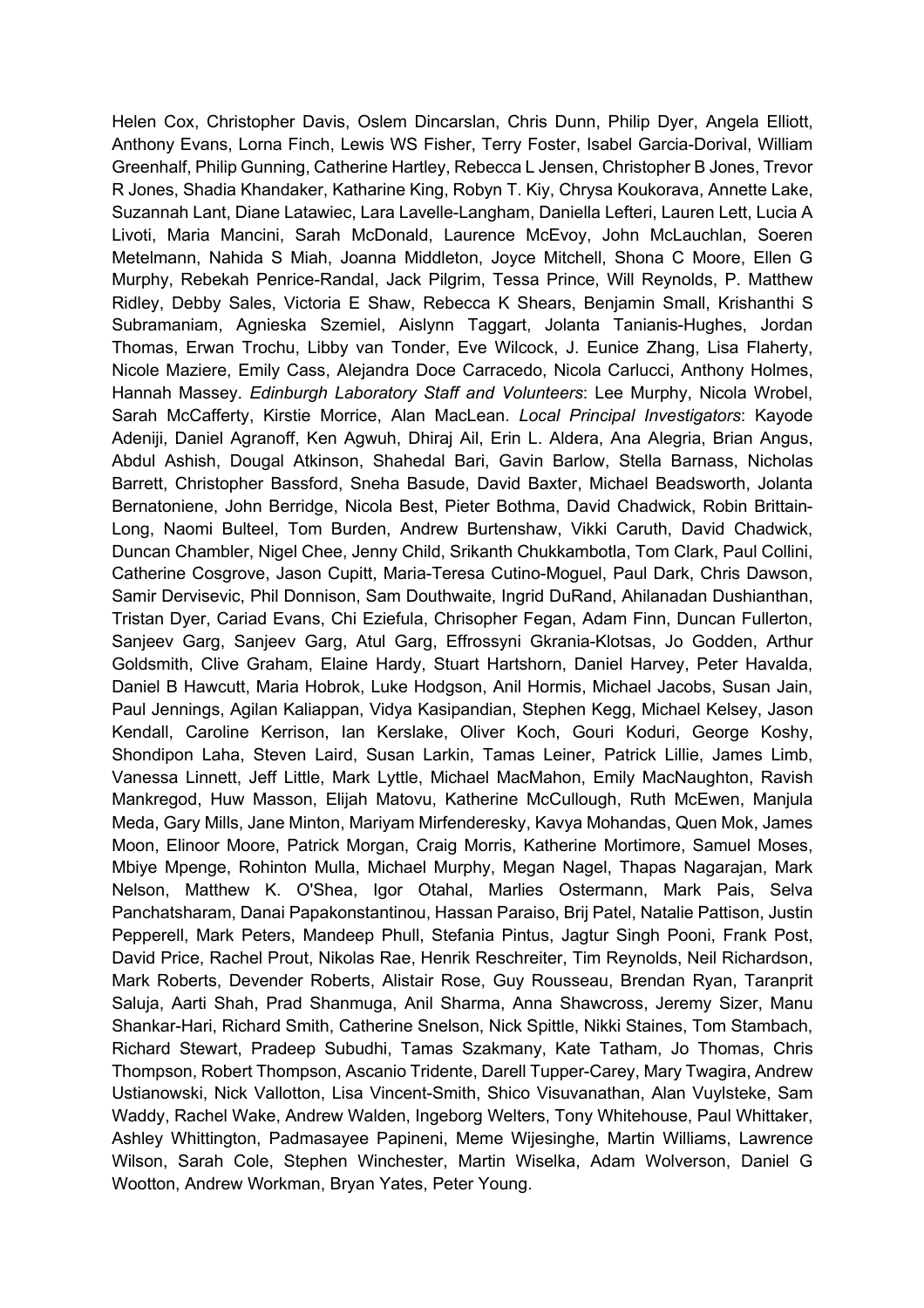Helen Cox, Christopher Davis, Oslem Dincarslan, Chris Dunn, Philip Dyer, Angela Elliott, Anthony Evans, Lorna Finch, Lewis WS Fisher, Terry Foster, Isabel Garcia-Dorival, William Greenhalf, Philip Gunning, Catherine Hartley, Rebecca L Jensen, Christopher B Jones, Trevor R Jones, Shadia Khandaker, Katharine King, Robyn T. Kiy, Chrysa Koukorava, Annette Lake, Suzannah Lant, Diane Latawiec, Lara Lavelle-Langham, Daniella Lefteri, Lauren Lett, Lucia A Livoti, Maria Mancini, Sarah McDonald, Laurence McEvoy, John McLauchlan, Soeren Metelmann, Nahida S Miah, Joanna Middleton, Joyce Mitchell, Shona C Moore, Ellen G Murphy, Rebekah Penrice-Randal, Jack Pilgrim, Tessa Prince, Will Reynolds, P. Matthew Ridley, Debby Sales, Victoria E Shaw, Rebecca K Shears, Benjamin Small, Krishanthi S Subramaniam, Agnieska Szemiel, Aislynn Taggart, Jolanta Tanianis-Hughes, Jordan Thomas, Erwan Trochu, Libby van Tonder, Eve Wilcock, J. Eunice Zhang, Lisa Flaherty, Nicole Maziere, Emily Cass, Alejandra Doce Carracedo, Nicola Carlucci, Anthony Holmes, Hannah Massey. *Edinburgh Laboratory Staff and Volunteers*: Lee Murphy, Nicola Wrobel, Sarah McCafferty, Kirstie Morrice, Alan MacLean. *Local Principal Investigators*: Kayode Adeniji, Daniel Agranoff, Ken Agwuh, Dhiraj Ail, Erin L. Aldera, Ana Alegria, Brian Angus, Abdul Ashish, Dougal Atkinson, Shahedal Bari, Gavin Barlow, Stella Barnass, Nicholas Barrett, Christopher Bassford, Sneha Basude, David Baxter, Michael Beadsworth, Jolanta Bernatoniene, John Berridge, Nicola Best, Pieter Bothma, David Chadwick, Robin Brittain-Long, Naomi Bulteel, Tom Burden, Andrew Burtenshaw, Vikki Caruth, David Chadwick, Duncan Chambler, Nigel Chee, Jenny Child, Srikanth Chukkambotla, Tom Clark, Paul Collini, Catherine Cosgrove, Jason Cupitt, Maria-Teresa Cutino-Moguel, Paul Dark, Chris Dawson, Samir Dervisevic, Phil Donnison, Sam Douthwaite, Ingrid DuRand, Ahilanadan Dushianthan, Tristan Dyer, Cariad Evans, Chi Eziefula, Chrisopher Fegan, Adam Finn, Duncan Fullerton, Sanjeev Garg, Sanjeev Garg, Atul Garg, Effrossyni Gkrania-Klotsas, Jo Godden, Arthur Goldsmith, Clive Graham, Elaine Hardy, Stuart Hartshorn, Daniel Harvey, Peter Havalda, Daniel B Hawcutt, Maria Hobrok, Luke Hodgson, Anil Hormis, Michael Jacobs, Susan Jain, Paul Jennings, Agilan Kaliappan, Vidya Kasipandian, Stephen Kegg, Michael Kelsey, Jason Kendall, Caroline Kerrison, Ian Kerslake, Oliver Koch, Gouri Koduri, George Koshy, Shondipon Laha, Steven Laird, Susan Larkin, Tamas Leiner, Patrick Lillie, James Limb, Vanessa Linnett, Jeff Little, Mark Lyttle, Michael MacMahon, Emily MacNaughton, Ravish Mankregod, Huw Masson, Elijah Matovu, Katherine McCullough, Ruth McEwen, Manjula Meda, Gary Mills, Jane Minton, Mariyam Mirfenderesky, Kavya Mohandas, Quen Mok, James Moon, Elinoor Moore, Patrick Morgan, Craig Morris, Katherine Mortimore, Samuel Moses, Mbiye Mpenge, Rohinton Mulla, Michael Murphy, Megan Nagel, Thapas Nagarajan, Mark Nelson, Matthew K. O'Shea, Igor Otahal, Marlies Ostermann, Mark Pais, Selva Panchatsharam, Danai Papakonstantinou, Hassan Paraiso, Brij Patel, Natalie Pattison, Justin Pepperell, Mark Peters, Mandeep Phull, Stefania Pintus, Jagtur Singh Pooni, Frank Post, David Price, Rachel Prout, Nikolas Rae, Henrik Reschreiter, Tim Reynolds, Neil Richardson, Mark Roberts, Devender Roberts, Alistair Rose, Guy Rousseau, Brendan Ryan, Taranprit Saluja, Aarti Shah, Prad Shanmuga, Anil Sharma, Anna Shawcross, Jeremy Sizer, Manu Shankar-Hari, Richard Smith, Catherine Snelson, Nick Spittle, Nikki Staines, Tom Stambach, Richard Stewart, Pradeep Subudhi, Tamas Szakmany, Kate Tatham, Jo Thomas, Chris Thompson, Robert Thompson, Ascanio Tridente, Darell Tupper-Carey, Mary Twagira, Andrew Ustianowski, Nick Vallotton, Lisa Vincent-Smith, Shico Visuvanathan, Alan Vuylsteke, Sam Waddy, Rachel Wake, Andrew Walden, Ingeborg Welters, Tony Whitehouse, Paul Whittaker, Ashley Whittington, Padmasayee Papineni, Meme Wijesinghe, Martin Williams, Lawrence Wilson, Sarah Cole, Stephen Winchester, Martin Wiselka, Adam Wolverson, Daniel G Wootton, Andrew Workman, Bryan Yates, Peter Young.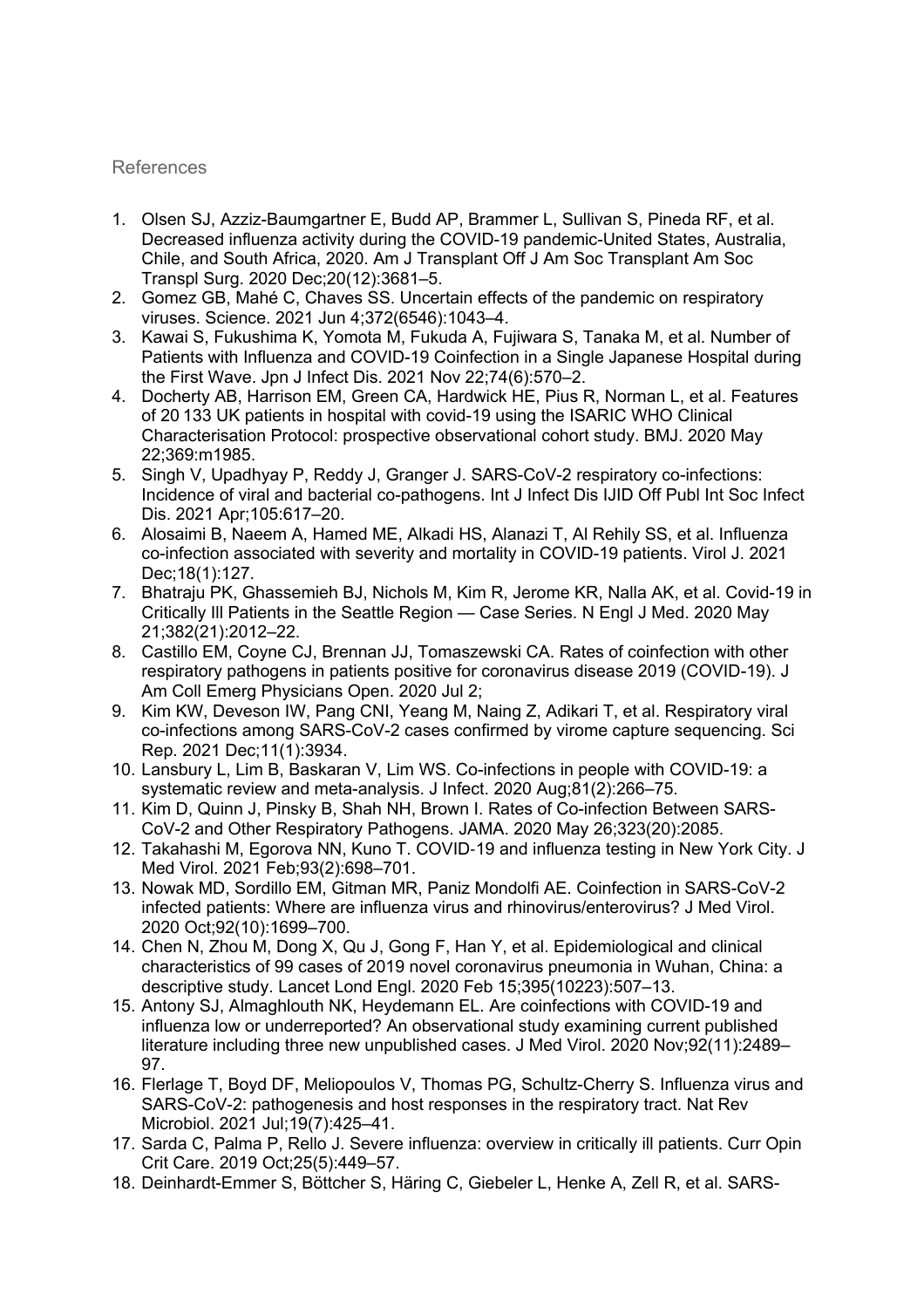### References

- 1. Olsen SJ, Azziz-Baumgartner E, Budd AP, Brammer L, Sullivan S, Pineda RF, et al. Decreased influenza activity during the COVID-19 pandemic-United States, Australia, Chile, and South Africa, 2020. Am J Transplant Off J Am Soc Transplant Am Soc Transpl Surg. 2020 Dec;20(12):3681–5.
- 2. Gomez GB, Mahé C, Chaves SS. Uncertain effects of the pandemic on respiratory viruses. Science. 2021 Jun 4;372(6546):1043–4.
- 3. Kawai S, Fukushima K, Yomota M, Fukuda A, Fujiwara S, Tanaka M, et al. Number of Patients with Influenza and COVID-19 Coinfection in a Single Japanese Hospital during the First Wave. Jpn J Infect Dis. 2021 Nov 22;74(6):570–2.
- 4. Docherty AB, Harrison EM, Green CA, Hardwick HE, Pius R, Norman L, et al. Features of 20 133 UK patients in hospital with covid-19 using the ISARIC WHO Clinical Characterisation Protocol: prospective observational cohort study. BMJ. 2020 May 22;369:m1985.
- 5. Singh V, Upadhyay P, Reddy J, Granger J. SARS-CoV-2 respiratory co-infections: Incidence of viral and bacterial co-pathogens. Int J Infect Dis IJID Off Publ Int Soc Infect Dis. 2021 Apr;105:617–20.
- 6. Alosaimi B, Naeem A, Hamed ME, Alkadi HS, Alanazi T, Al Rehily SS, et al. Influenza co-infection associated with severity and mortality in COVID-19 patients. Virol J. 2021 Dec;18(1):127.
- 7. Bhatraju PK, Ghassemieh BJ, Nichols M, Kim R, Jerome KR, Nalla AK, et al. Covid-19 in Critically Ill Patients in the Seattle Region — Case Series. N Engl J Med. 2020 May 21;382(21):2012–22.
- 8. Castillo EM, Coyne CJ, Brennan JJ, Tomaszewski CA. Rates of coinfection with other respiratory pathogens in patients positive for coronavirus disease 2019 (COVID-19). J Am Coll Emerg Physicians Open. 2020 Jul 2;
- 9. Kim KW, Deveson IW, Pang CNI, Yeang M, Naing Z, Adikari T, et al. Respiratory viral co-infections among SARS-CoV-2 cases confirmed by virome capture sequencing. Sci Rep. 2021 Dec;11(1):3934.
- 10. Lansbury L, Lim B, Baskaran V, Lim WS. Co-infections in people with COVID-19: a systematic review and meta-analysis. J Infect. 2020 Aug;81(2):266–75.
- 11. Kim D, Quinn J, Pinsky B, Shah NH, Brown I. Rates of Co-infection Between SARS-CoV-2 and Other Respiratory Pathogens. JAMA. 2020 May 26;323(20):2085.
- 12. Takahashi M, Egorova NN, Kuno T. COVID-19 and influenza testing in New York City. J Med Virol. 2021 Feb;93(2):698–701.
- 13. Nowak MD, Sordillo EM, Gitman MR, Paniz Mondolfi AE. Coinfection in SARS-CoV-2 infected patients: Where are influenza virus and rhinovirus/enterovirus? J Med Virol. 2020 Oct;92(10):1699–700.
- 14. Chen N, Zhou M, Dong X, Qu J, Gong F, Han Y, et al. Epidemiological and clinical characteristics of 99 cases of 2019 novel coronavirus pneumonia in Wuhan, China: a descriptive study. Lancet Lond Engl. 2020 Feb 15;395(10223):507–13.
- 15. Antony SJ, Almaghlouth NK, Heydemann EL. Are coinfections with COVID-19 and influenza low or underreported? An observational study examining current published literature including three new unpublished cases. J Med Virol. 2020 Nov;92(11):2489– 97.
- 16. Flerlage T, Boyd DF, Meliopoulos V, Thomas PG, Schultz-Cherry S. Influenza virus and SARS-CoV-2: pathogenesis and host responses in the respiratory tract. Nat Rev Microbiol. 2021 Jul;19(7):425–41.
- 17. Sarda C, Palma P, Rello J. Severe influenza: overview in critically ill patients. Curr Opin Crit Care. 2019 Oct;25(5):449–57.
- 18. Deinhardt-Emmer S, Böttcher S, Häring C, Giebeler L, Henke A, Zell R, et al. SARS-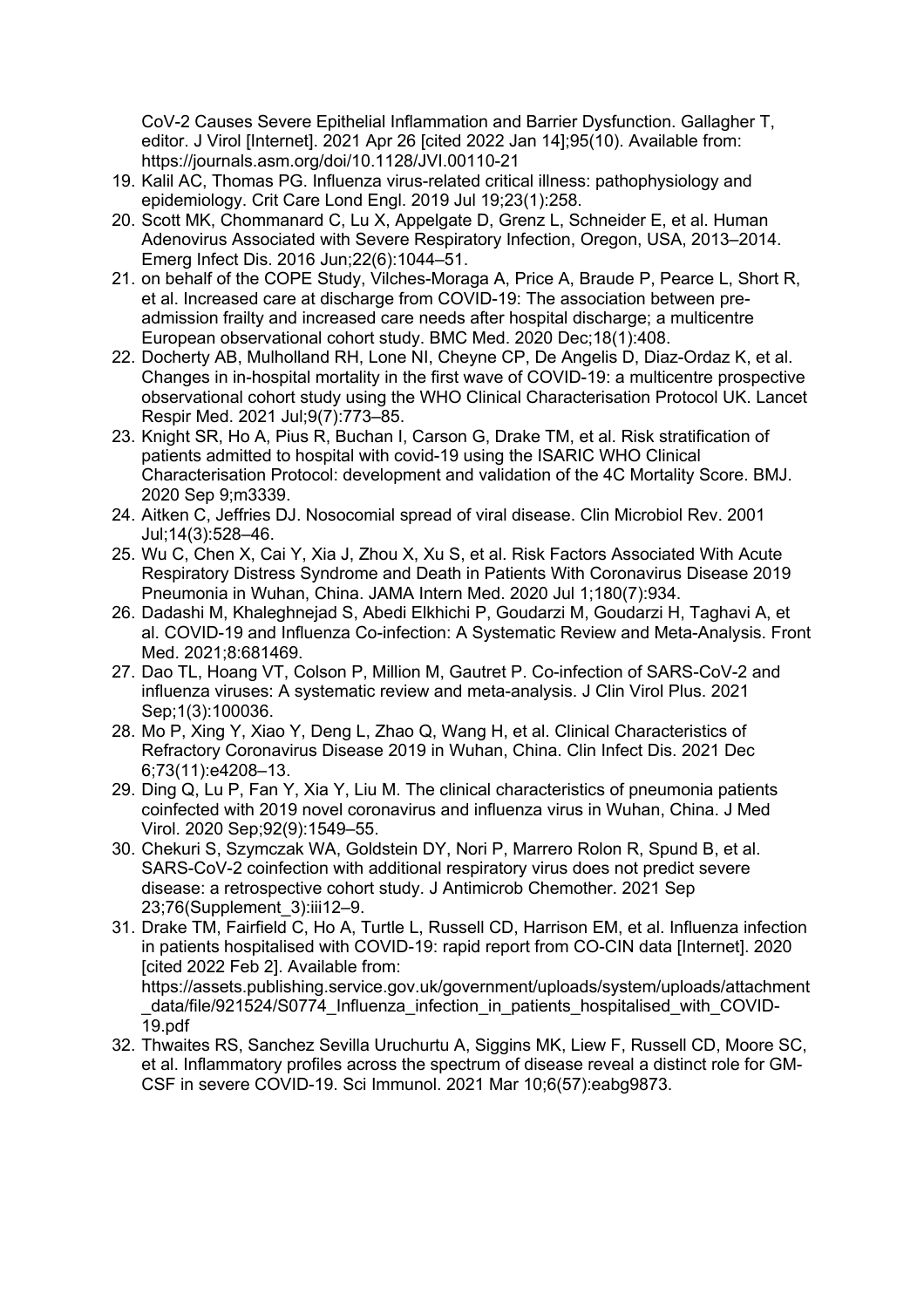CoV-2 Causes Severe Epithelial Inflammation and Barrier Dysfunction. Gallagher T, editor. J Virol [Internet]. 2021 Apr 26 [cited 2022 Jan 14];95(10). Available from: https://journals.asm.org/doi/10.1128/JVI.00110-21

- 19. Kalil AC, Thomas PG. Influenza virus-related critical illness: pathophysiology and epidemiology. Crit Care Lond Engl. 2019 Jul 19;23(1):258.
- 20. Scott MK, Chommanard C, Lu X, Appelgate D, Grenz L, Schneider E, et al. Human Adenovirus Associated with Severe Respiratory Infection, Oregon, USA, 2013–2014. Emerg Infect Dis. 2016 Jun;22(6):1044–51.
- 21. on behalf of the COPE Study, Vilches-Moraga A, Price A, Braude P, Pearce L, Short R, et al. Increased care at discharge from COVID-19: The association between preadmission frailty and increased care needs after hospital discharge; a multicentre European observational cohort study. BMC Med. 2020 Dec;18(1):408.
- 22. Docherty AB, Mulholland RH, Lone NI, Cheyne CP, De Angelis D, Diaz-Ordaz K, et al. Changes in in-hospital mortality in the first wave of COVID-19: a multicentre prospective observational cohort study using the WHO Clinical Characterisation Protocol UK. Lancet Respir Med. 2021 Jul;9(7):773–85.
- 23. Knight SR, Ho A, Pius R, Buchan I, Carson G, Drake TM, et al. Risk stratification of patients admitted to hospital with covid-19 using the ISARIC WHO Clinical Characterisation Protocol: development and validation of the 4C Mortality Score. BMJ. 2020 Sep 9;m3339.
- 24. Aitken C, Jeffries DJ. Nosocomial spread of viral disease. Clin Microbiol Rev. 2001 Jul;14(3):528–46.
- 25. Wu C, Chen X, Cai Y, Xia J, Zhou X, Xu S, et al. Risk Factors Associated With Acute Respiratory Distress Syndrome and Death in Patients With Coronavirus Disease 2019 Pneumonia in Wuhan, China. JAMA Intern Med. 2020 Jul 1;180(7):934.
- 26. Dadashi M, Khaleghnejad S, Abedi Elkhichi P, Goudarzi M, Goudarzi H, Taghavi A, et al. COVID-19 and Influenza Co-infection: A Systematic Review and Meta-Analysis. Front Med. 2021;8:681469.
- 27. Dao TL, Hoang VT, Colson P, Million M, Gautret P. Co-infection of SARS-CoV-2 and influenza viruses: A systematic review and meta-analysis. J Clin Virol Plus. 2021 Sep;1(3):100036.
- 28. Mo P, Xing Y, Xiao Y, Deng L, Zhao Q, Wang H, et al. Clinical Characteristics of Refractory Coronavirus Disease 2019 in Wuhan, China. Clin Infect Dis. 2021 Dec 6;73(11):e4208–13.
- 29. Ding Q, Lu P, Fan Y, Xia Y, Liu M. The clinical characteristics of pneumonia patients coinfected with 2019 novel coronavirus and influenza virus in Wuhan, China. J Med Virol. 2020 Sep;92(9):1549–55.
- 30. Chekuri S, Szymczak WA, Goldstein DY, Nori P, Marrero Rolon R, Spund B, et al. SARS-CoV-2 coinfection with additional respiratory virus does not predict severe disease: a retrospective cohort study. J Antimicrob Chemother. 2021 Sep 23;76(Supplement\_3):iii12–9.
- 31. Drake TM, Fairfield C, Ho A, Turtle L, Russell CD, Harrison EM, et al. Influenza infection in patients hospitalised with COVID-19: rapid report from CO-CIN data [Internet]. 2020 [cited 2022 Feb 2]. Available from: https://assets.publishing.service.gov.uk/government/uploads/system/uploads/attachment \_data/file/921524/S0774\_Influenza\_infection\_in\_patients\_hospitalised\_with\_COVID-

19.pdf

32. Thwaites RS, Sanchez Sevilla Uruchurtu A, Siggins MK, Liew F, Russell CD, Moore SC, et al. Inflammatory profiles across the spectrum of disease reveal a distinct role for GM-CSF in severe COVID-19. Sci Immunol. 2021 Mar 10;6(57):eabg9873.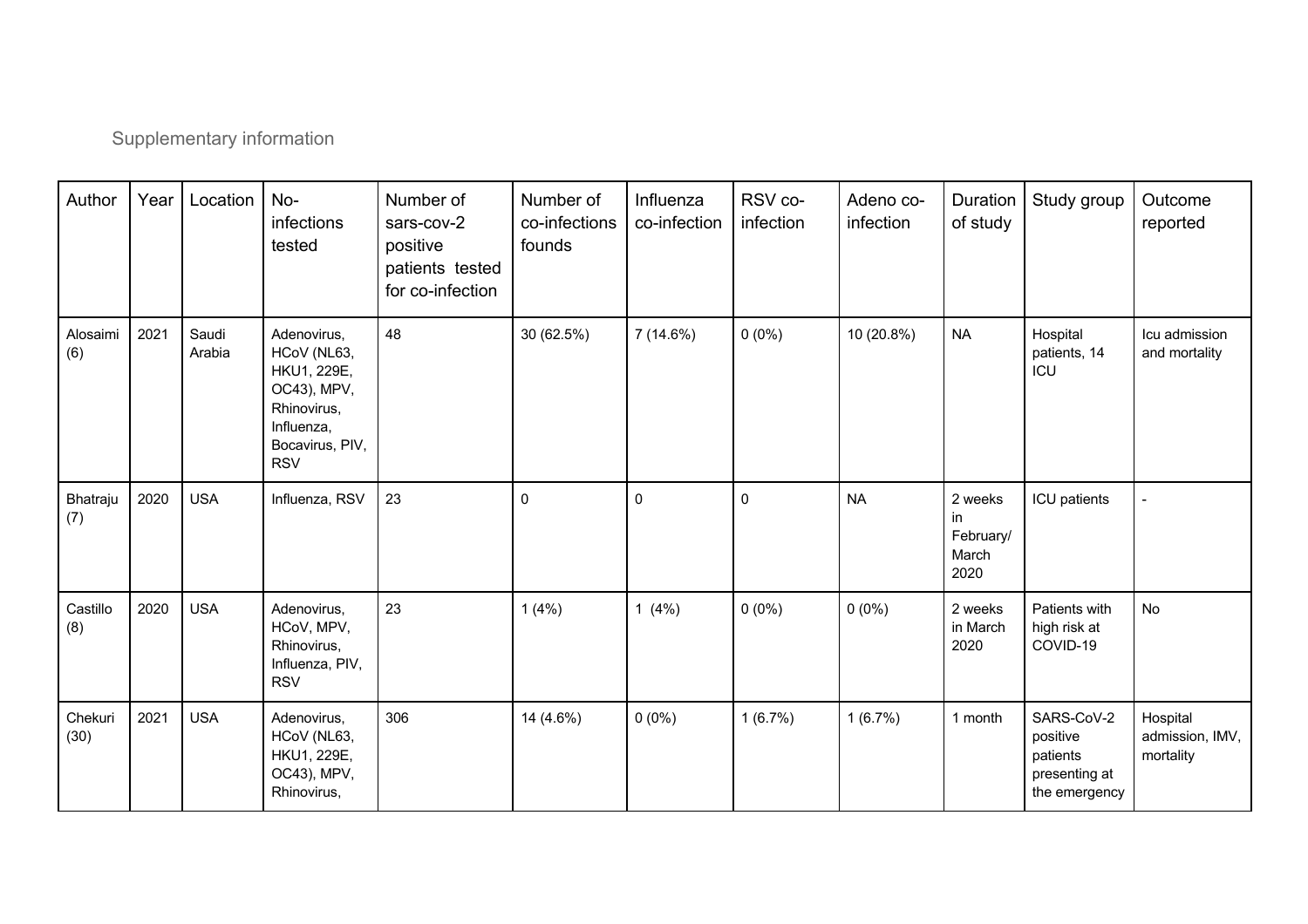# Supplementary information

| Author          | Year | Location        | No-<br>infections<br>tested                                                                                            | Number of<br>sars-cov-2<br>positive<br>patients tested<br>for co-infection | Number of<br>co-infections<br>founds | Influenza<br>co-infection | RSV co-<br>infection | Adeno co-<br>infection | Duration<br>of study                        | Study group                                                          | Outcome<br>reported                      |
|-----------------|------|-----------------|------------------------------------------------------------------------------------------------------------------------|----------------------------------------------------------------------------|--------------------------------------|---------------------------|----------------------|------------------------|---------------------------------------------|----------------------------------------------------------------------|------------------------------------------|
| Alosaimi<br>(6) | 2021 | Saudi<br>Arabia | Adenovirus,<br>HCoV (NL63,<br>HKU1, 229E,<br>OC43), MPV,<br>Rhinovirus,<br>Influenza,<br>Bocavirus, PIV,<br><b>RSV</b> | 48                                                                         | 30 (62.5%)                           | 7(14.6%)                  | $0(0\%)$             | 10 (20.8%)             | <b>NA</b>                                   | Hospital<br>patients, 14<br>ICU                                      | Icu admission<br>and mortality           |
| Bhatraju<br>(7) | 2020 | <b>USA</b>      | Influenza, RSV                                                                                                         | 23                                                                         | $\mathbf 0$                          | $\pmb{0}$                 | 0                    | <b>NA</b>              | 2 weeks<br>in<br>February/<br>March<br>2020 | ICU patients                                                         |                                          |
| Castillo<br>(8) | 2020 | <b>USA</b>      | Adenovirus,<br>HCoV, MPV,<br>Rhinovirus,<br>Influenza, PIV,<br><b>RSV</b>                                              | 23                                                                         | 1(4%)                                | 1 $(4%)$                  | $0(0\%)$             | $0(0\%)$               | 2 weeks<br>in March<br>2020                 | Patients with<br>high risk at<br>COVID-19                            | No                                       |
| Chekuri<br>(30) | 2021 | <b>USA</b>      | Adenovirus,<br>HCoV (NL63,<br>HKU1, 229E,<br>OC43), MPV,<br>Rhinovirus,                                                | 306                                                                        | 14 (4.6%)                            | $0(0\%)$                  | 1(6.7%)              | 1(6.7%)                | 1 month                                     | SARS-CoV-2<br>positive<br>patients<br>presenting at<br>the emergency | Hospital<br>admission, IMV,<br>mortality |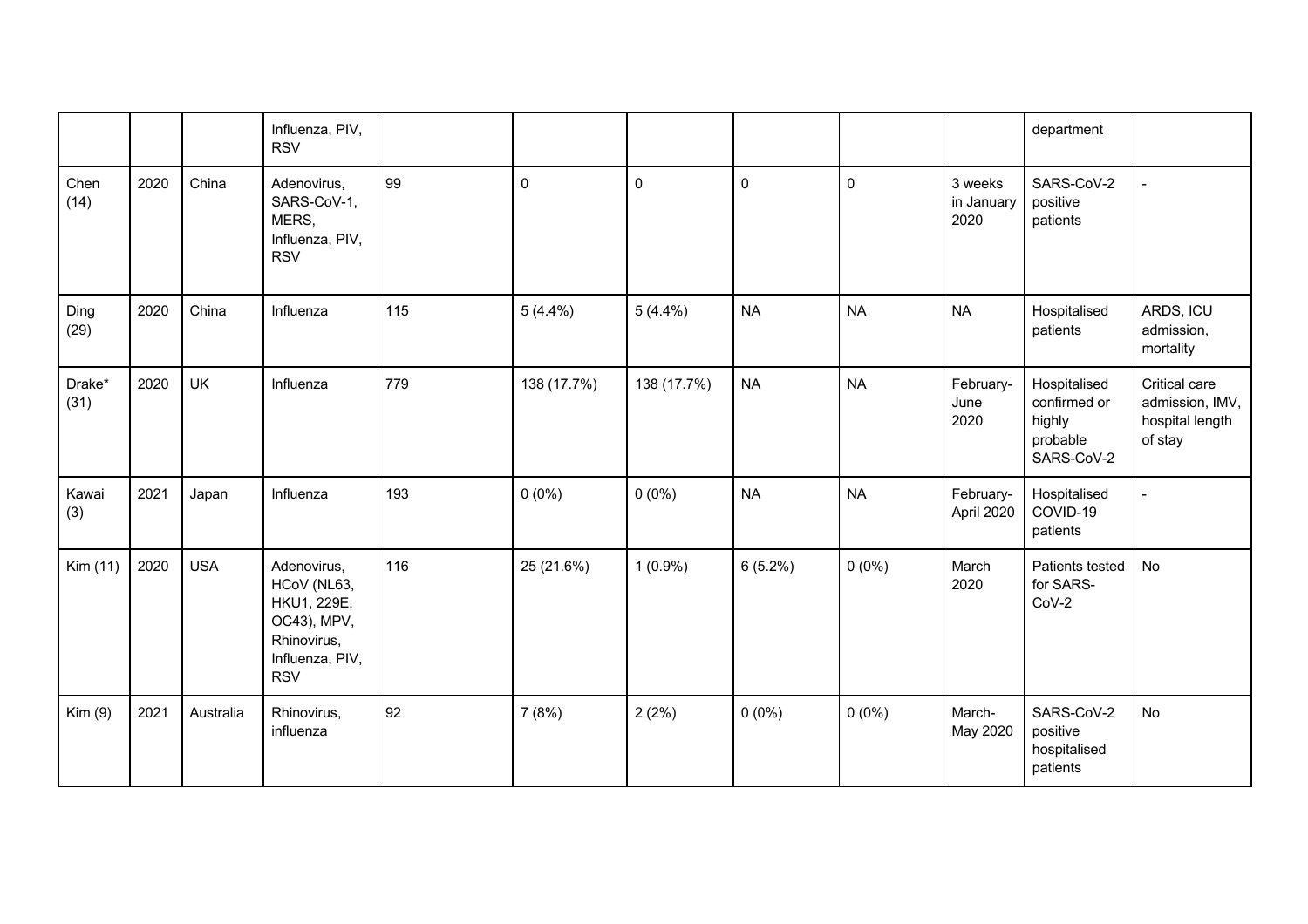|                |      |            | Influenza, PIV,<br><b>RSV</b>                                                                            |     |             |             |            |           |                               | department                                                       |                                                                |
|----------------|------|------------|----------------------------------------------------------------------------------------------------------|-----|-------------|-------------|------------|-----------|-------------------------------|------------------------------------------------------------------|----------------------------------------------------------------|
| Chen<br>(14)   | 2020 | China      | Adenovirus,<br>SARS-CoV-1,<br>MERS,<br>Influenza, PIV,<br><b>RSV</b>                                     | 99  | $\pmb{0}$   | $\pmb{0}$   | 0          | $\pmb{0}$ | 3 weeks<br>in January<br>2020 | SARS-CoV-2<br>positive<br>patients                               |                                                                |
| Ding<br>(29)   | 2020 | China      | Influenza                                                                                                | 115 | $5(4.4\%)$  | $5(4.4\%)$  | <b>NA</b>  | <b>NA</b> | <b>NA</b>                     | Hospitalised<br>patients                                         | ARDS, ICU<br>admission,<br>mortality                           |
| Drake*<br>(31) | 2020 | <b>UK</b>  | Influenza                                                                                                | 779 | 138 (17.7%) | 138 (17.7%) | <b>NA</b>  | <b>NA</b> | February-<br>June<br>2020     | Hospitalised<br>confirmed or<br>highly<br>probable<br>SARS-CoV-2 | Critical care<br>admission, IMV,<br>hospital length<br>of stay |
| Kawai<br>(3)   | 2021 | Japan      | Influenza                                                                                                | 193 | $0(0\%)$    | $0(0\%)$    | <b>NA</b>  | <b>NA</b> | February-<br>April 2020       | Hospitalised<br>COVID-19<br>patients                             |                                                                |
| Kim (11)       | 2020 | <b>USA</b> | Adenovirus,<br>HCoV (NL63,<br>HKU1, 229E,<br>OC43), MPV,<br>Rhinovirus,<br>Influenza, PIV,<br><b>RSV</b> | 116 | 25 (21.6%)  | $1(0.9\%)$  | $6(5.2\%)$ | $0(0\%)$  | March<br>2020                 | Patients tested<br>for SARS-<br>$CoV-2$                          | No                                                             |
| Kim(9)         | 2021 | Australia  | Rhinovirus,<br>influenza                                                                                 | 92  | 7(8%)       | 2(2%)       | $0(0\%)$   | $0(0\%)$  | March-<br>May 2020            | SARS-CoV-2<br>positive<br>hospitalised<br>patients               | <b>No</b>                                                      |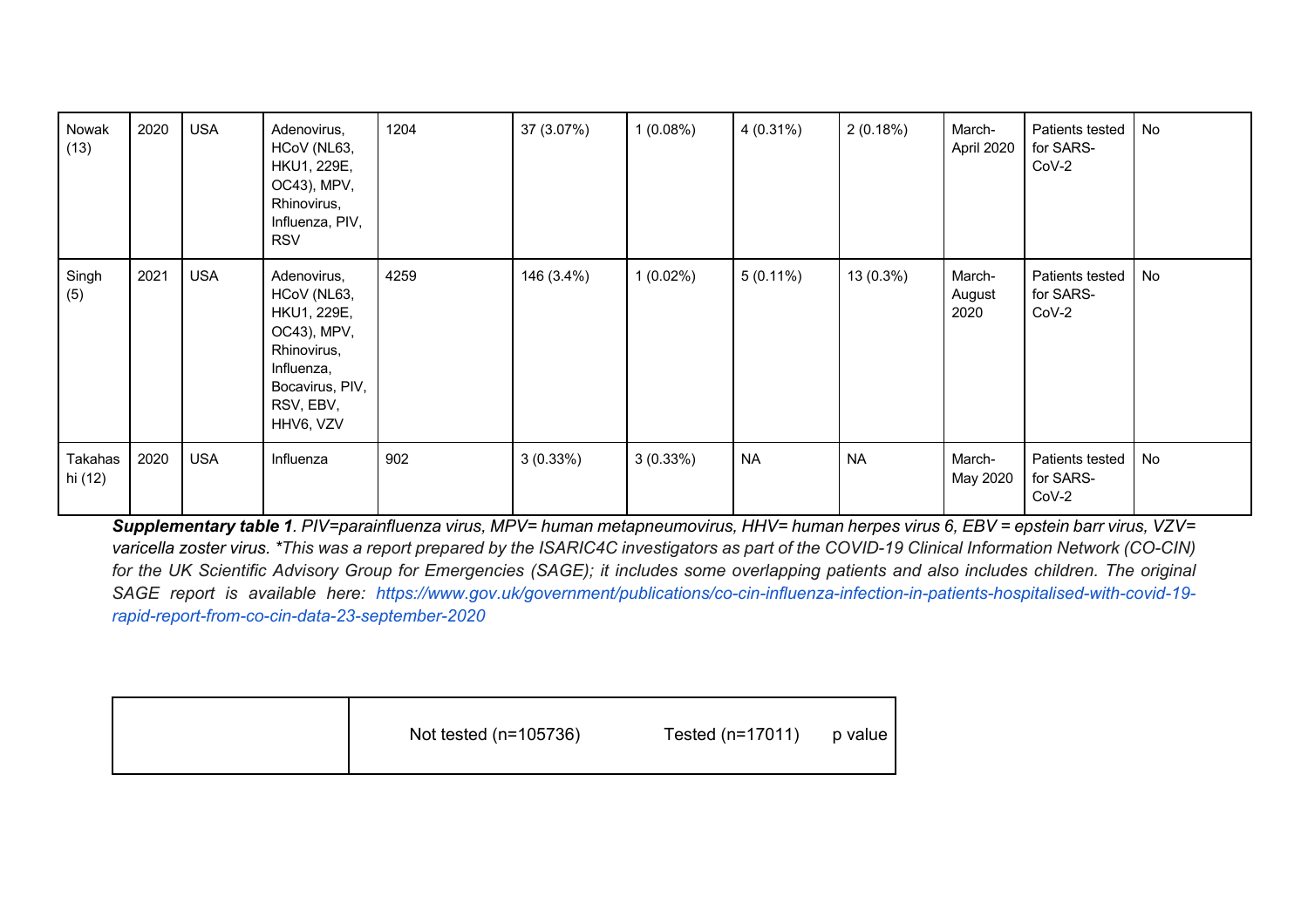| Nowak<br>(13)      | 2020 | <b>USA</b> | Adenovirus,<br>HCoV (NL63,<br>HKU1, 229E,<br>OC43), MPV,<br>Rhinovirus,<br>Influenza, PIV,<br><b>RSV</b>                           | 1204 | 37 (3.07%)  | 1(0.08%)    | $4(0.31\%)$ | 2(0.18%)  | March-<br>April 2020     | Patients tested<br>for SARS-<br>$CoV-2$ | No |
|--------------------|------|------------|------------------------------------------------------------------------------------------------------------------------------------|------|-------------|-------------|-------------|-----------|--------------------------|-----------------------------------------|----|
| Singh<br>(5)       | 2021 | <b>USA</b> | Adenovirus,<br>HCoV (NL63,<br>HKU1, 229E,<br>OC43), MPV,<br>Rhinovirus,<br>Influenza,<br>Bocavirus, PIV,<br>RSV, EBV,<br>HHV6, VZV | 4259 | 146 (3.4%)  | $1(0.02\%)$ | $5(0.11\%)$ | 13 (0.3%) | March-<br>August<br>2020 | Patients tested<br>for SARS-<br>$CoV-2$ | No |
| Takahas<br>hi (12) | 2020 | <b>USA</b> | Influenza                                                                                                                          | 902  | $3(0.33\%)$ | 3(0.33%)    | <b>NA</b>   | <b>NA</b> | March-<br>May 2020       | Patients tested<br>for SARS-<br>$CoV-2$ | No |

*Supplementary table 1. PIV=parainfluenza virus, MPV= human metapneumovirus, HHV= human herpes virus 6, EBV = epstein barr virus, VZV= varicella zoster virus. \*This was a report prepared by the ISARIC4C investigators as part of the COVID-19 Clinical Information Network (CO-CIN) for the UK Scientific Advisory Group for Emergencies (SAGE); it includes some overlapping patients and also includes children. The original SAGE report is available here: https://www.gov.uk/government/publications/co-cin-influenza-infection-in-patients-hospitalised-with-covid-19 rapid-report-from-co-cin-data-23-september-2020*

| Not tested (n=105736) | Tested (n=17011) | p value |
|-----------------------|------------------|---------|
|                       |                  |         |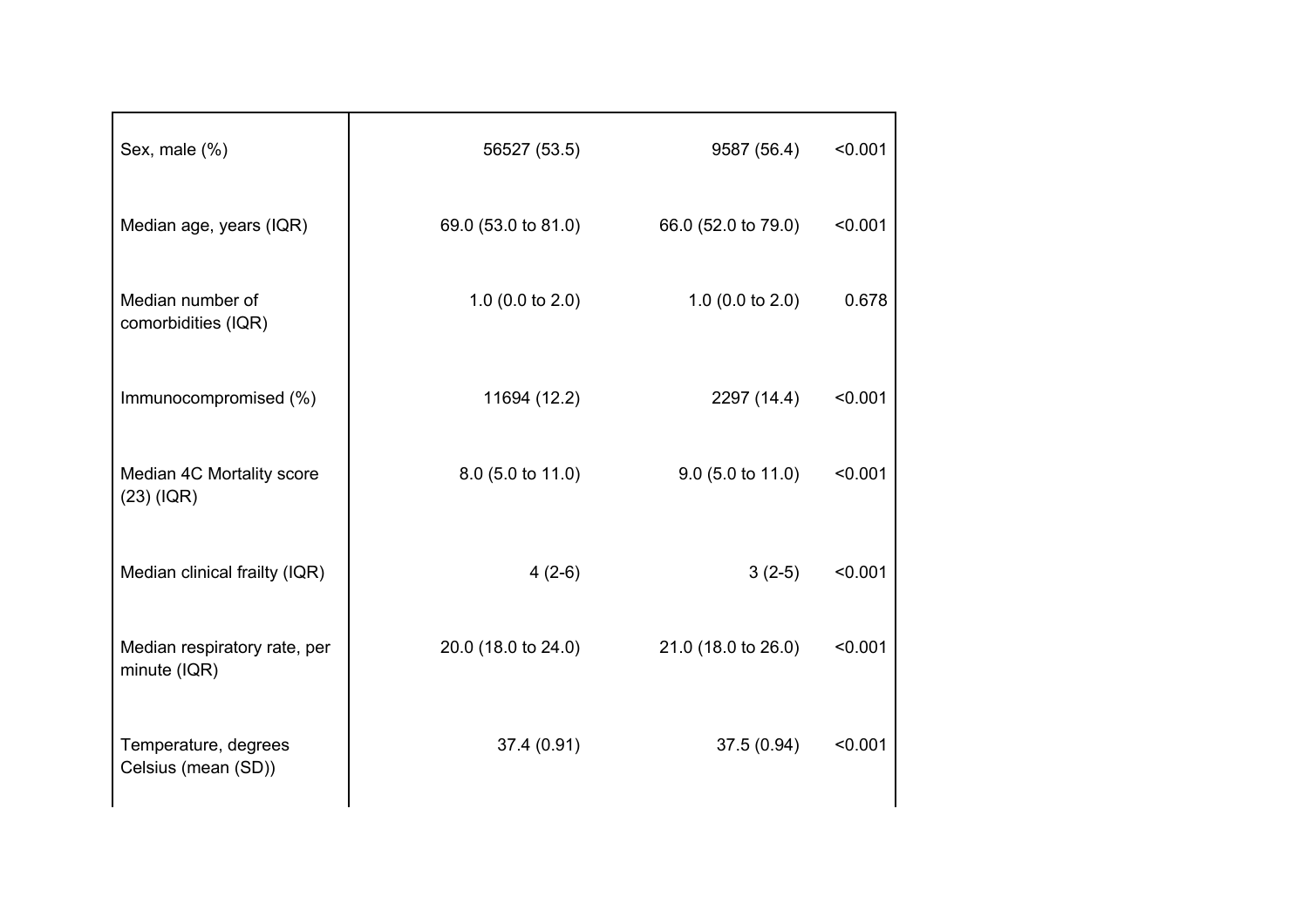| 56527 (53.5)                | 9587 (56.4)                 | < 0.001             |
|-----------------------------|-----------------------------|---------------------|
|                             | 66.0 (52.0 to 79.0)         | < 0.001             |
| 1.0 $(0.0 \text{ to } 2.0)$ | 1.0 $(0.0 \text{ to } 2.0)$ | 0.678               |
| 11694 (12.2)                | 2297 (14.4)                 | < 0.001             |
| $8.0$ (5.0 to 11.0)         | $9.0$ (5.0 to 11.0)         | < 0.001             |
| $4(2-6)$                    | $3(2-5)$                    | < 0.001             |
| 20.0 (18.0 to 24.0)         | 21.0 (18.0 to 26.0)         | < 0.001             |
| 37.4 (0.91)                 | 37.5(0.94)                  | < 0.001             |
|                             |                             | 69.0 (53.0 to 81.0) |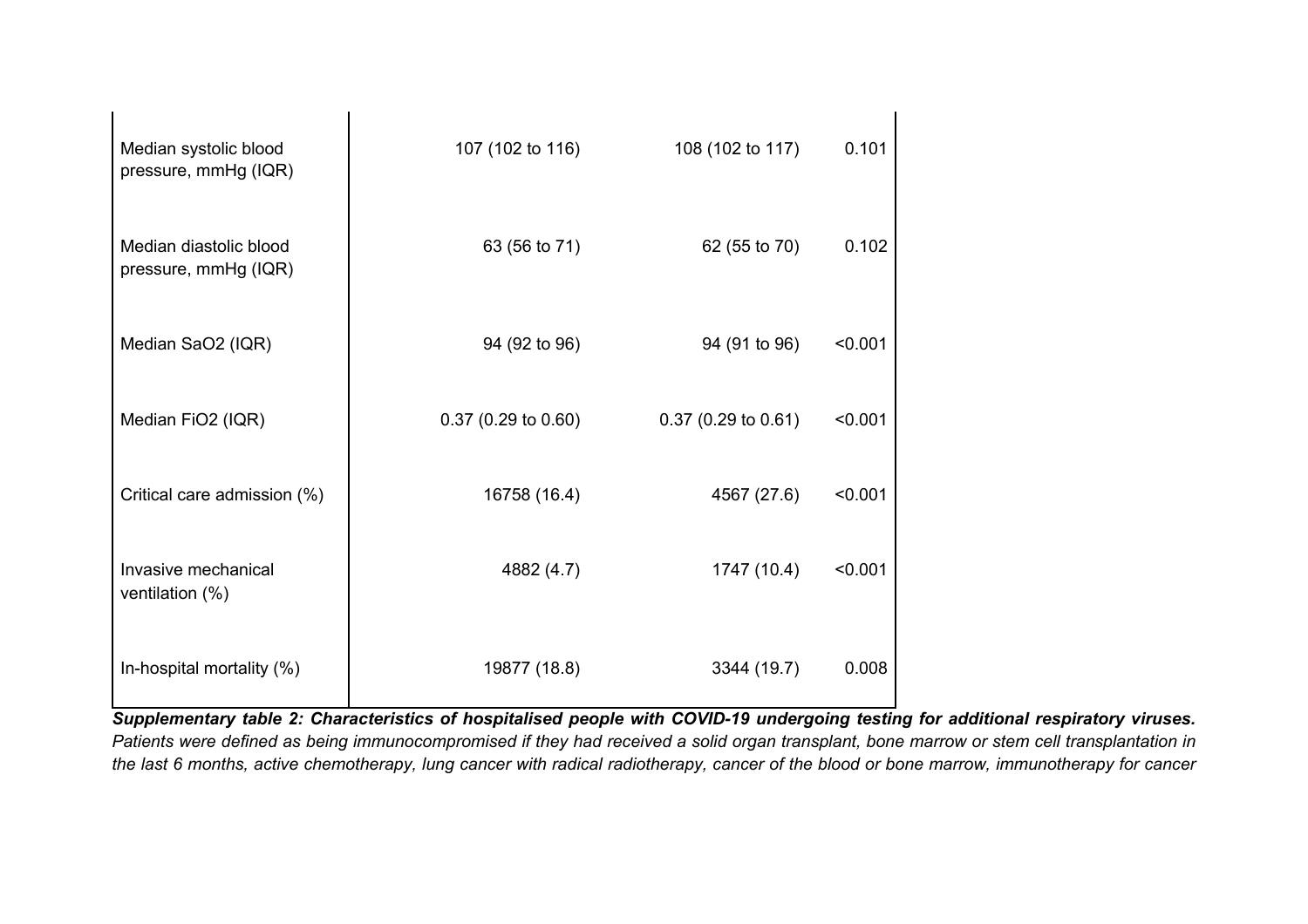| Median systolic blood<br>pressure, mmHg (IQR)  | 107 (102 to 116)              | 108 (102 to 117)      | 0.101   |
|------------------------------------------------|-------------------------------|-----------------------|---------|
| Median diastolic blood<br>pressure, mmHg (IQR) | 63 (56 to 71)                 | 62 (55 to 70)         | 0.102   |
| Median SaO2 (IQR)                              | 94 (92 to 96)                 | 94 (91 to 96)         | < 0.001 |
| Median FiO2 (IQR)                              | $0.37(0.29 \text{ to } 0.60)$ | $0.37$ (0.29 to 0.61) | < 0.001 |
| Critical care admission (%)                    | 16758 (16.4)                  | 4567 (27.6)           | < 0.001 |
| Invasive mechanical<br>ventilation (%)         | 4882 (4.7)                    | 1747 (10.4)           | < 0.001 |
| In-hospital mortality (%)                      | 19877 (18.8)                  | 3344 (19.7)           | 0.008   |

*Supplementary table 2: Characteristics of hospitalised people with COVID-19 undergoing testing for additional respiratory viruses. Patients were defined as being immunocompromised if they had received a solid organ transplant, bone marrow or stem cell transplantation in the last 6 months, active chemotherapy, lung cancer with radical radiotherapy, cancer of the blood or bone marrow, immunotherapy for cancer*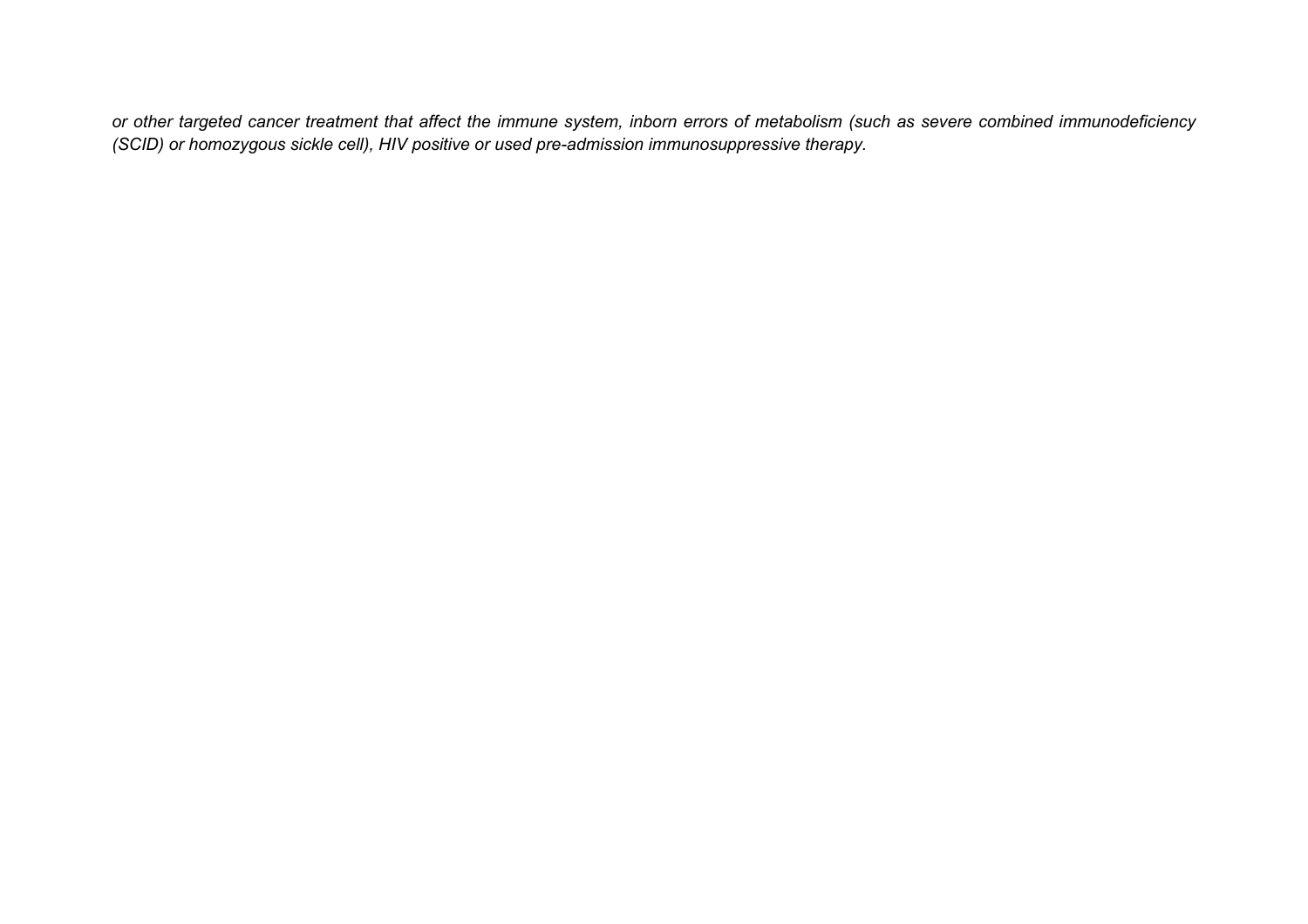*or other targeted cancer treatment that affect the immune system, inborn errors of metabolism (such as severe combined immunodeficiency (SCID) or homozygous sickle cell), HIV positive or used pre-admission immunosuppressive therapy.*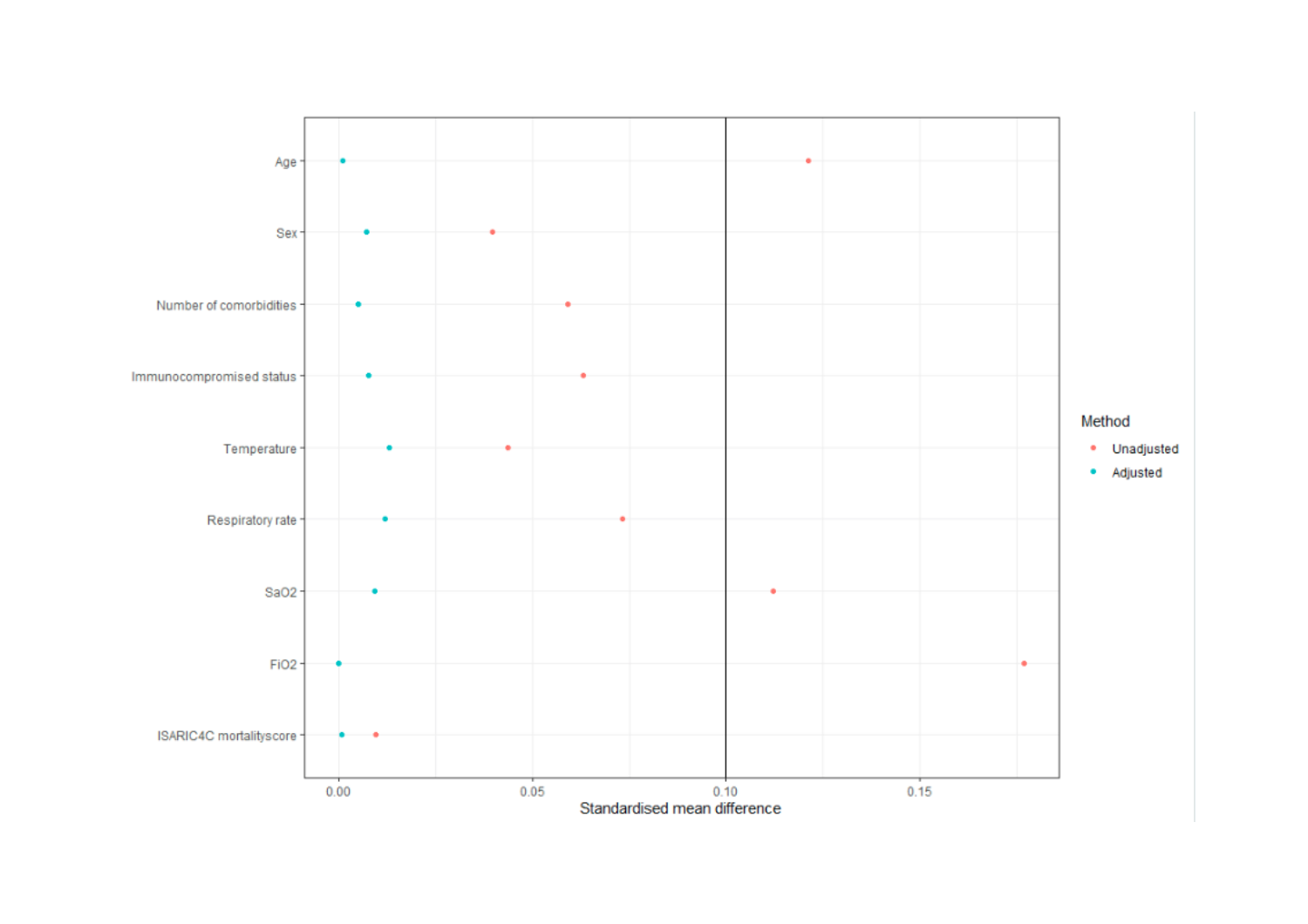